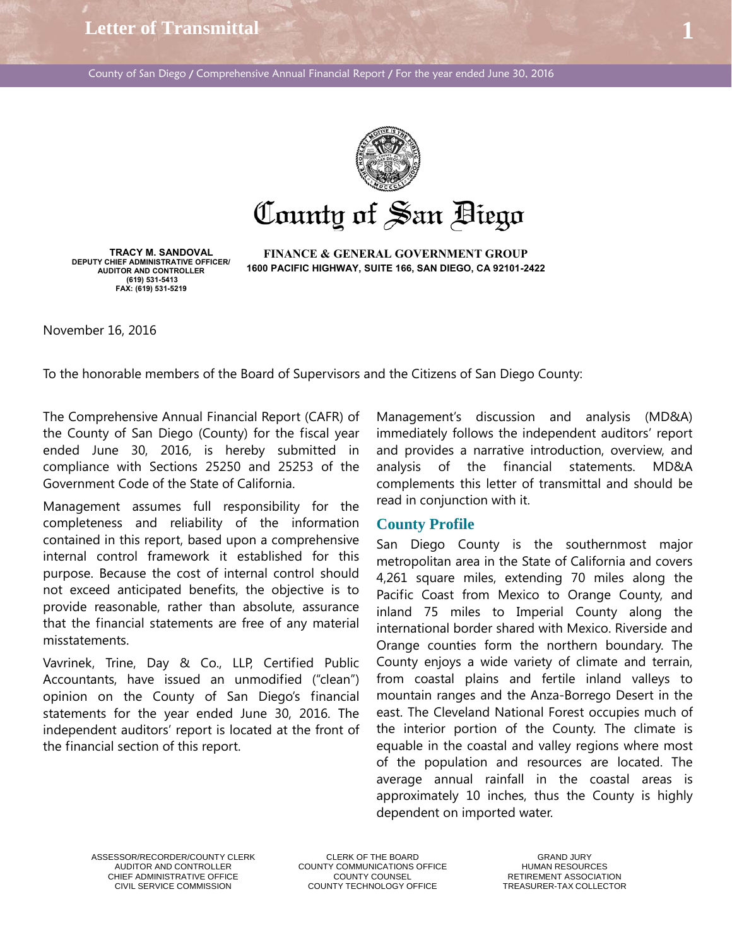**Letter of Transmittal 1**

County of San Diego / Comprehensive Annual Financial Report / For the year ended June 30, 2016



County of San Biego

**TRACY M. SANDOVAL DEPUTY CHIEF ADMINISTRATIVE OFFICER/ AUDITOR AND CONTROLLER (619) 531-5413 FAX: (619) 531-5219** 

**FINANCE & GENERAL GOVERNMENT GROUP 1600 PACIFIC HIGHWAY, SUITE 166, SAN DIEGO, CA 92101-2422** 

November 16, 2016

To the honorable members of the Board of Supervisors and the Citizens of San Diego County:

The Comprehensive Annual Financial Report (CAFR) of the County of San Diego (County) for the fiscal year ended June 30, 2016, is hereby submitted in compliance with Sections 25250 and 25253 of the Government Code of the State of California.

Management assumes full responsibility for the completeness and reliability of the information contained in this report, based upon a comprehensive internal control framework it established for this purpose. Because the cost of internal control should not exceed anticipated benefits, the objective is to provide reasonable, rather than absolute, assurance that the financial statements are free of any material misstatements.

Vavrinek, Trine, Day & Co., LLP, Certified Public Accountants, have issued an unmodified ("clean") opinion on the County of San Diego's financial statements for the year ended June 30, 2016. The independent auditors' report is located at the front of the financial section of this report.

Management's discussion and analysis (MD&A) immediately follows the independent auditors' report and provides a narrative introduction, overview, and analysis of the financial statements. MD&A complements this letter of transmittal and should be read in conjunction with it.

#### **County Profile**

San Diego County is the southernmost major metropolitan area in the State of California and covers 4,261 square miles, extending 70 miles along the Pacific Coast from Mexico to Orange County, and inland 75 miles to Imperial County along the international border shared with Mexico. Riverside and Orange counties form the northern boundary. The County enjoys a wide variety of climate and terrain, from coastal plains and fertile inland valleys to mountain ranges and the Anza-Borrego Desert in the east. The Cleveland National Forest occupies much of the interior portion of the County. The climate is equable in the coastal and valley regions where most of the population and resources are located. The average annual rainfall in the coastal areas is approximately 10 inches, thus the County is highly dependent on imported water.

ASSESSOR/RECORDER/COUNTY CLERK CLERK CLERK OF THE BOARD<br>AUDITOR AND CONTROLLER COUNTY COMMUNICATIONS OFFICE THE HUMAN RESOURCES

COUNTY COMMUNICATIONS OFFICE CHIEF ADMINISTRATIVE OFFICE COUNTY COUNTY COUNSEL THE RETIREMENT ASSOCIATION<br>COUNTY TECHNOLOGY OFFICE TREASURER-TAX COLLECTOI

TREASURER-TAX COLLECTOR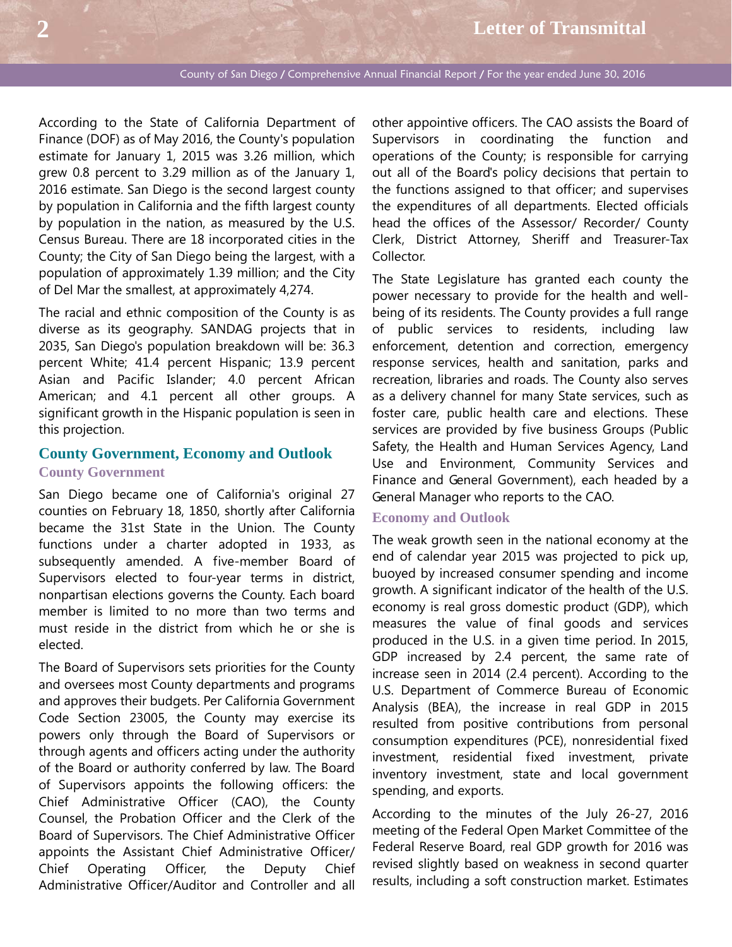According to the State of California Department of Finance (DOF) as of May 2016, the County's population estimate for January 1, 2015 was 3.26 million, which grew 0.8 percent to 3.29 million as of the January 1, 2016 estimate. San Diego is the second largest county by population in California and the fifth largest county by population in the nation, as measured by the U.S. Census Bureau. There are 18 incorporated cities in the County; the City of San Diego being the largest, with a population of approximately 1.39 million; and the City of Del Mar the smallest, at approximately 4,274.

The racial and ethnic composition of the County is as diverse as its geography. SANDAG projects that in 2035, San Diego's population breakdown will be: 36.3 percent White; 41.4 percent Hispanic; 13.9 percent Asian and Pacific Islander; 4.0 percent African American; and 4.1 percent all other groups. A significant growth in the Hispanic population is seen in this projection.

## **County Government, Economy and Outlook County Government**

San Diego became one of California's original 27 counties on February 18, 1850, shortly after California became the 31st State in the Union. The County functions under a charter adopted in 1933, as subsequently amended. A five-member Board of Supervisors elected to four-year terms in district, nonpartisan elections governs the County. Each board member is limited to no more than two terms and must reside in the district from which he or she is elected.

The Board of Supervisors sets priorities for the County and oversees most County departments and programs and approves their budgets. Per California Government Code Section 23005, the County may exercise its powers only through the Board of Supervisors or through agents and officers acting under the authority of the Board or authority conferred by law. The Board of Supervisors appoints the following officers: the Chief Administrative Officer (CAO), the County Counsel, the Probation Officer and the Clerk of the Board of Supervisors. The Chief Administrative Officer appoints the Assistant Chief Administrative Officer/ Chief Operating Officer, the Deputy Chief Administrative Officer/Auditor and Controller and all

other appointive officers. The CAO assists the Board of Supervisors in coordinating the function and operations of the County; is responsible for carrying out all of the Board's policy decisions that pertain to the functions assigned to that officer; and supervises the expenditures of all departments. Elected officials head the offices of the Assessor/ Recorder/ County Clerk, District Attorney, Sheriff and Treasurer-Tax Collector.

The State Legislature has granted each county the power necessary to provide for the health and wellbeing of its residents. The County provides a full range of public services to residents, including law enforcement, detention and correction, emergency response services, health and sanitation, parks and recreation, libraries and roads. The County also serves as a delivery channel for many State services, such as foster care, public health care and elections. These services are provided by five business Groups (Public Safety, the Health and Human Services Agency, Land Use and Environment, Community Services and Finance and General Government), each headed by a General Manager who reports to the CAO.

#### **Economy and Outlook**

The weak growth seen in the national economy at the end of calendar year 2015 was projected to pick up, buoyed by increased consumer spending and income growth. A significant indicator of the health of the U.S. economy is real gross domestic product (GDP), which measures the value of final goods and services produced in the U.S. in a given time period. In 2015, GDP increased by 2.4 percent, the same rate of increase seen in 2014 (2.4 percent). According to the U.S. Department of Commerce Bureau of Economic Analysis (BEA), the increase in real GDP in 2015 resulted from positive contributions from personal consumption expenditures (PCE), nonresidential fixed investment, residential fixed investment, private inventory investment, state and local government spending, and exports.

According to the minutes of the July 26-27, 2016 meeting of the Federal Open Market Committee of the Federal Reserve Board, real GDP growth for 2016 was revised slightly based on weakness in second quarter results, including a soft construction market. Estimates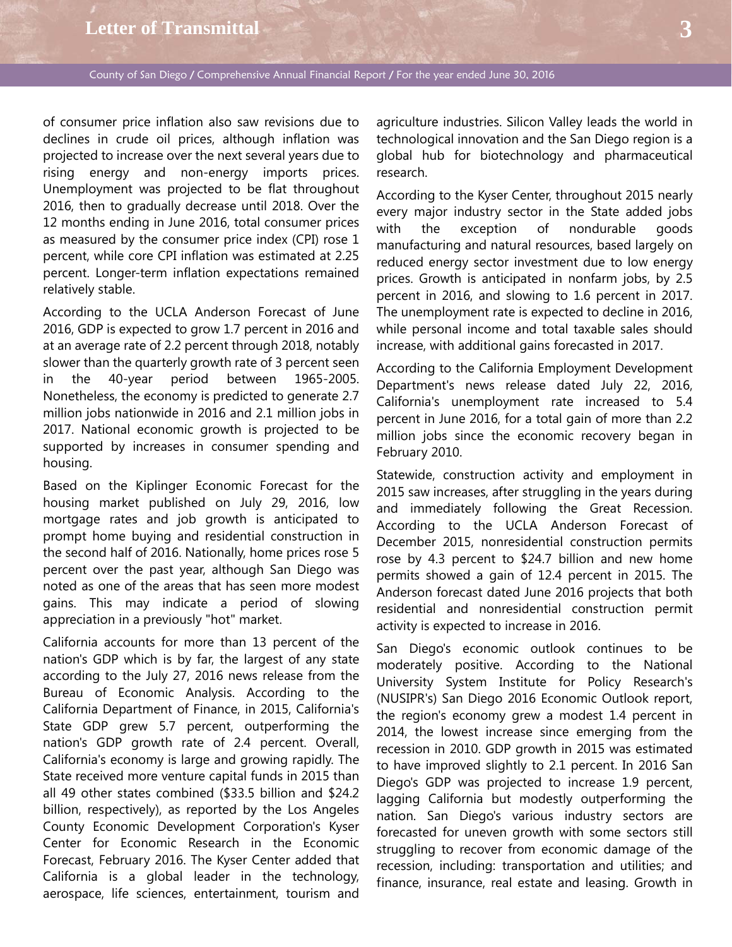# **Letter of Transmittal 3**

County of San Diego / Comprehensive Annual Financial Report / For the year ended June 30, 2016

of consumer price inflation also saw revisions due to declines in crude oil prices, although inflation was projected to increase over the next several years due to rising energy and non-energy imports prices. Unemployment was projected to be flat throughout 2016, then to gradually decrease until 2018. Over the 12 months ending in June 2016, total consumer prices as measured by the consumer price index (CPI) rose 1 percent, while core CPI inflation was estimated at 2.25 percent. Longer-term inflation expectations remained relatively stable.

According to the UCLA Anderson Forecast of June 2016, GDP is expected to grow 1.7 percent in 2016 and at an average rate of 2.2 percent through 2018, notably slower than the quarterly growth rate of 3 percent seen in the 40-year period between 1965-2005. Nonetheless, the economy is predicted to generate 2.7 million jobs nationwide in 2016 and 2.1 million jobs in 2017. National economic growth is projected to be supported by increases in consumer spending and housing.

Based on the Kiplinger Economic Forecast for the housing market published on July 29, 2016, low mortgage rates and job growth is anticipated to prompt home buying and residential construction in the second half of 2016. Nationally, home prices rose 5 percent over the past year, although San Diego was noted as one of the areas that has seen more modest gains. This may indicate a period of slowing appreciation in a previously "hot" market.

California accounts for more than 13 percent of the nation's GDP which is by far, the largest of any state according to the July 27, 2016 news release from the Bureau of Economic Analysis. According to the California Department of Finance, in 2015, California's State GDP grew 5.7 percent, outperforming the nation's GDP growth rate of 2.4 percent. Overall, California's economy is large and growing rapidly. The State received more venture capital funds in 2015 than all 49 other states combined (\$33.5 billion and \$24.2 billion, respectively), as reported by the Los Angeles County Economic Development Corporation's Kyser Center for Economic Research in the Economic Forecast, February 2016. The Kyser Center added that California is a global leader in the technology, aerospace, life sciences, entertainment, tourism and agriculture industries. Silicon Valley leads the world in technological innovation and the San Diego region is a global hub for biotechnology and pharmaceutical research.

According to the Kyser Center, throughout 2015 nearly every major industry sector in the State added jobs with the exception of nondurable goods manufacturing and natural resources, based largely on reduced energy sector investment due to low energy prices. Growth is anticipated in nonfarm jobs, by 2.5 percent in 2016, and slowing to 1.6 percent in 2017. The unemployment rate is expected to decline in 2016, while personal income and total taxable sales should increase, with additional gains forecasted in 2017.

According to the California Employment Development Department's news release dated July 22, 2016, California's unemployment rate increased to 5.4 percent in June 2016, for a total gain of more than 2.2 million jobs since the economic recovery began in February 2010.

Statewide, construction activity and employment in 2015 saw increases, after struggling in the years during and immediately following the Great Recession. According to the UCLA Anderson Forecast of December 2015, nonresidential construction permits rose by 4.3 percent to \$24.7 billion and new home permits showed a gain of 12.4 percent in 2015. The Anderson forecast dated June 2016 projects that both residential and nonresidential construction permit activity is expected to increase in 2016.

San Diego's economic outlook continues to be moderately positive. According to the National University System Institute for Policy Research's (NUSIPR's) San Diego 2016 Economic Outlook report, the region's economy grew a modest 1.4 percent in 2014, the lowest increase since emerging from the recession in 2010. GDP growth in 2015 was estimated to have improved slightly to 2.1 percent. In 2016 San Diego's GDP was projected to increase 1.9 percent, lagging California but modestly outperforming the nation. San Diego's various industry sectors are forecasted for uneven growth with some sectors still struggling to recover from economic damage of the recession, including: transportation and utilities; and finance, insurance, real estate and leasing. Growth in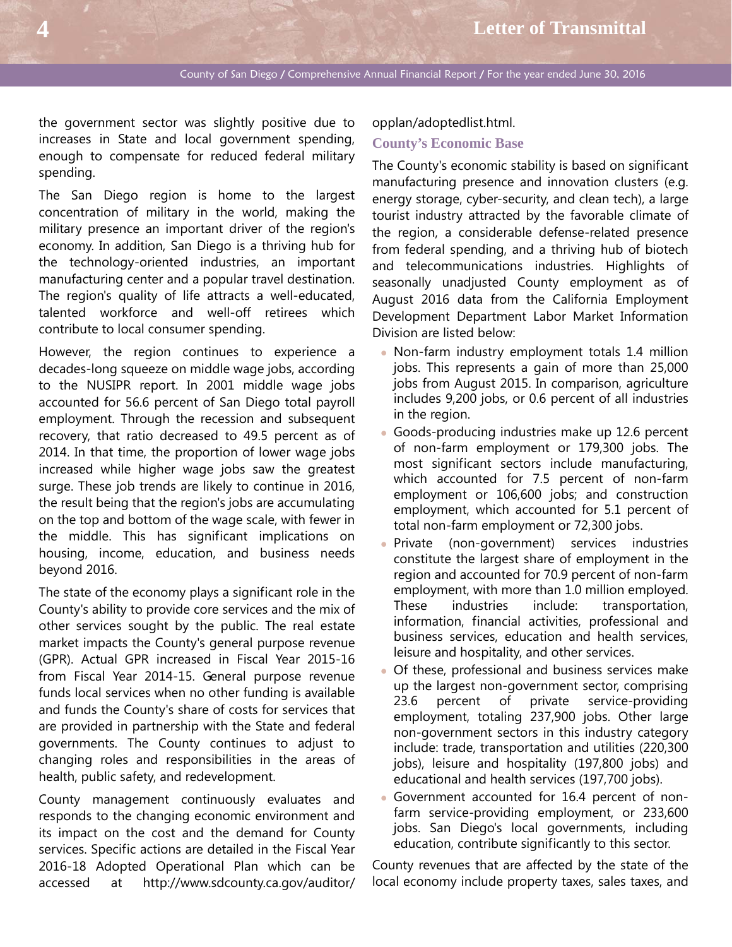the government sector was slightly positive due to increases in State and local government spending, enough to compensate for reduced federal military spending.

The San Diego region is home to the largest concentration of military in the world, making the military presence an important driver of the region's economy. In addition, San Diego is a thriving hub for the technology-oriented industries, an important manufacturing center and a popular travel destination. The region's quality of life attracts a well-educated, talented workforce and well-off retirees which contribute to local consumer spending.

However, the region continues to experience a decades-long squeeze on middle wage jobs, according to the NUSIPR report. In 2001 middle wage jobs accounted for 56.6 percent of San Diego total payroll employment. Through the recession and subsequent recovery, that ratio decreased to 49.5 percent as of 2014. In that time, the proportion of lower wage jobs increased while higher wage jobs saw the greatest surge. These job trends are likely to continue in 2016, the result being that the region's jobs are accumulating on the top and bottom of the wage scale, with fewer in the middle. This has significant implications on housing, income, education, and business needs beyond 2016.

The state of the economy plays a significant role in the County's ability to provide core services and the mix of other services sought by the public. The real estate market impacts the County's general purpose revenue (GPR). Actual GPR increased in Fiscal Year 2015-16 from Fiscal Year 2014-15. General purpose revenue funds local services when no other funding is available and funds the County's share of costs for services that are provided in partnership with the State and federal governments. The County continues to adjust to changing roles and responsibilities in the areas of health, public safety, and redevelopment.

County management continuously evaluates and responds to the changing economic environment and its impact on the cost and the demand for County services. Specific actions are detailed in the Fiscal Year 2016-18 Adopted Operational Plan which can be accessed at http://www.sdcounty.ca.gov/auditor/

#### opplan/adoptedlist.html.

#### **County's Economic Base**

The County's economic stability is based on significant manufacturing presence and innovation clusters (e.g. energy storage, cyber-security, and clean tech), a large tourist industry attracted by the favorable climate of the region, a considerable defense-related presence from federal spending, and a thriving hub of biotech and telecommunications industries. Highlights of seasonally unadjusted County employment as of August 2016 data from the California Employment Development Department Labor Market Information Division are listed below:

- Non-farm industry employment totals 1.4 million jobs. This represents a gain of more than 25,000 jobs from August 2015. In comparison, agriculture includes 9,200 jobs, or 0.6 percent of all industries in the region.
- Goods-producing industries make up 12.6 percent of non-farm employment or 179,300 jobs. The most significant sectors include manufacturing, which accounted for 7.5 percent of non-farm employment or 106,600 jobs; and construction employment, which accounted for 5.1 percent of total non-farm employment or 72,300 jobs.
- **Private** (non-government) services industries constitute the largest share of employment in the region and accounted for 70.9 percent of non-farm employment, with more than 1.0 million employed. These industries include: transportation, information, financial activities, professional and business services, education and health services, leisure and hospitality, and other services.
- Of these, professional and business services make up the largest non-government sector, comprising 23.6 percent of private service-providing employment, totaling 237,900 jobs. Other large non-government sectors in this industry category include: trade, transportation and utilities (220,300 jobs), leisure and hospitality (197,800 jobs) and educational and health services (197,700 jobs).
- Government accounted for 16.4 percent of nonfarm service-providing employment, or 233,600 jobs. San Diego's local governments, including education, contribute significantly to this sector.

County revenues that are affected by the state of the local economy include property taxes, sales taxes, and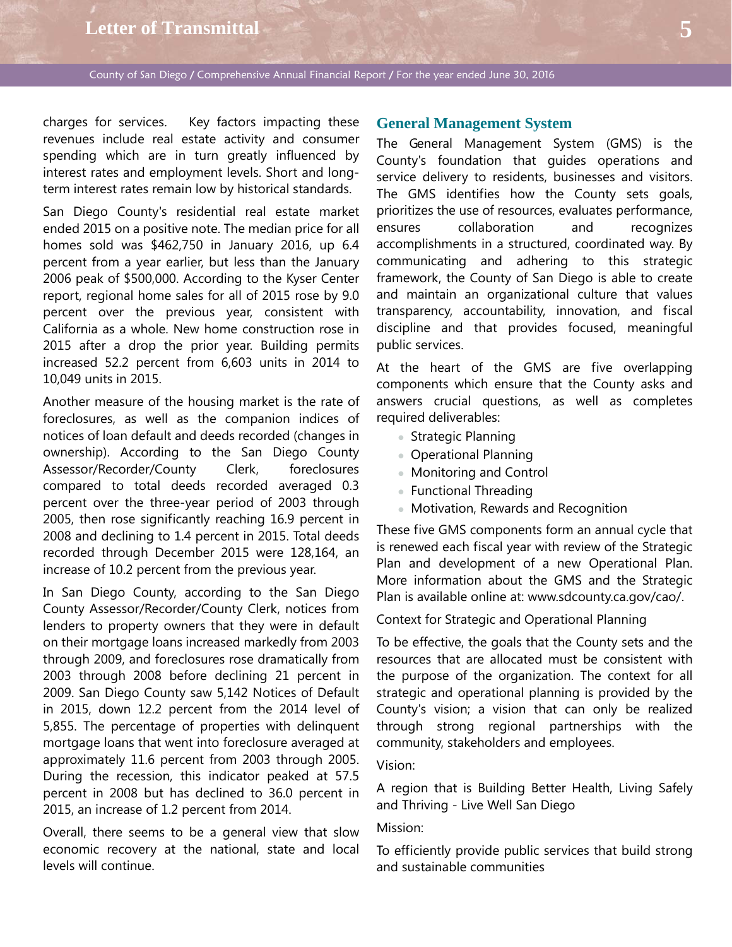# **Letter of Transmittal 5**

County of San Diego / Comprehensive Annual Financial Report / For the year ended June 30, 2016

charges for services. Key factors impacting these revenues include real estate activity and consumer spending which are in turn greatly influenced by interest rates and employment levels. Short and longterm interest rates remain low by historical standards.

San Diego County's residential real estate market ended 2015 on a positive note. The median price for all homes sold was \$462,750 in January 2016, up 6.4 percent from a year earlier, but less than the January 2006 peak of \$500,000. According to the Kyser Center report, regional home sales for all of 2015 rose by 9.0 percent over the previous year, consistent with California as a whole. New home construction rose in 2015 after a drop the prior year. Building permits increased 52.2 percent from 6,603 units in 2014 to 10,049 units in 2015.

Another measure of the housing market is the rate of foreclosures, as well as the companion indices of notices of loan default and deeds recorded (changes in ownership). According to the San Diego County Assessor/Recorder/County Clerk, foreclosures compared to total deeds recorded averaged 0.3 percent over the three-year period of 2003 through 2005, then rose significantly reaching 16.9 percent in 2008 and declining to 1.4 percent in 2015. Total deeds recorded through December 2015 were 128,164, an increase of 10.2 percent from the previous year.

In San Diego County, according to the San Diego County Assessor/Recorder/County Clerk, notices from lenders to property owners that they were in default on their mortgage loans increased markedly from 2003 through 2009, and foreclosures rose dramatically from 2003 through 2008 before declining 21 percent in 2009. San Diego County saw 5,142 Notices of Default in 2015, down 12.2 percent from the 2014 level of 5,855. The percentage of properties with delinquent mortgage loans that went into foreclosure averaged at approximately 11.6 percent from 2003 through 2005. During the recession, this indicator peaked at 57.5 percent in 2008 but has declined to 36.0 percent in 2015, an increase of 1.2 percent from 2014.

Overall, there seems to be a general view that slow economic recovery at the national, state and local levels will continue.

### **General Management System**

The General Management System (GMS) is the County's foundation that guides operations and service delivery to residents, businesses and visitors. The GMS identifies how the County sets goals, prioritizes the use of resources, evaluates performance, ensures collaboration and recognizes accomplishments in a structured, coordinated way. By communicating and adhering to this strategic framework, the County of San Diego is able to create and maintain an organizational culture that values transparency, accountability, innovation, and fiscal discipline and that provides focused, meaningful public services.

At the heart of the GMS are five overlapping components which ensure that the County asks and answers crucial questions, as well as completes required deliverables:

- **Strategic Planning**
- Operational Planning
- Monitoring and Control
- Functional Threading
- Motivation, Rewards and Recognition

These five GMS components form an annual cycle that is renewed each fiscal year with review of the Strategic Plan and development of a new Operational Plan. More information about the GMS and the Strategic Plan is available online at: www.sdcounty.ca.gov/cao/.

Context for Strategic and Operational Planning

To be effective, the goals that the County sets and the resources that are allocated must be consistent with the purpose of the organization. The context for all strategic and operational planning is provided by the County's vision; a vision that can only be realized through strong regional partnerships with the community, stakeholders and employees.

Vision:

A region that is Building Better Health, Living Safely and Thriving - Live Well San Diego

### Mission:

To efficiently provide public services that build strong and sustainable communities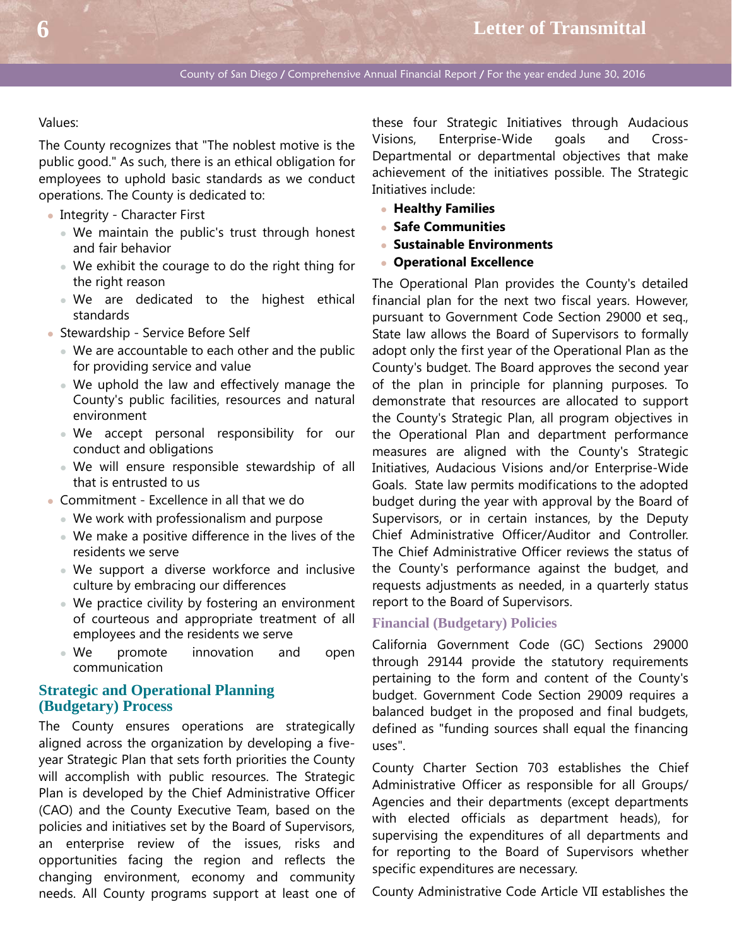#### Values:

The County recognizes that "The noblest motive is the public good." As such, there is an ethical obligation for employees to uphold basic standards as we conduct operations. The County is dedicated to:

- Integrity Character First
	- We maintain the public's trust through honest and fair behavior
	- We exhibit the courage to do the right thing for the right reason
	- We are dedicated to the highest ethical standards
- Stewardship Service Before Self
	- We are accountable to each other and the public for providing service and value
	- We uphold the law and effectively manage the County's public facilities, resources and natural environment
	- We accept personal responsibility for our conduct and obligations
	- We will ensure responsible stewardship of all that is entrusted to us
- Commitment Excellence in all that we do
	- We work with professionalism and purpose
	- We make a positive difference in the lives of the residents we serve
	- We support a diverse workforce and inclusive culture by embracing our differences
	- We practice civility by fostering an environment of courteous and appropriate treatment of all employees and the residents we serve
	- We promote innovation and open communication

## **Strategic and Operational Planning (Budgetary) Process**

The County ensures operations are strategically aligned across the organization by developing a fiveyear Strategic Plan that sets forth priorities the County will accomplish with public resources. The Strategic Plan is developed by the Chief Administrative Officer (CAO) and the County Executive Team, based on the policies and initiatives set by the Board of Supervisors, an enterprise review of the issues, risks and opportunities facing the region and reflects the changing environment, economy and community needs. All County programs support at least one of

these four Strategic Initiatives through Audacious Visions, Enterprise-Wide goals and Cross-Departmental or departmental objectives that make achievement of the initiatives possible. The Strategic Initiatives include:

- **Healthy Families**
- **Safe Communities**
- **Sustainable Environments**
- **Operational Excellence**

The Operational Plan provides the County's detailed financial plan for the next two fiscal years. However, pursuant to Government Code Section 29000 et seq., State law allows the Board of Supervisors to formally adopt only the first year of the Operational Plan as the County's budget. The Board approves the second year of the plan in principle for planning purposes. To demonstrate that resources are allocated to support the County's Strategic Plan, all program objectives in the Operational Plan and department performance measures are aligned with the County's Strategic Initiatives, Audacious Visions and/or Enterprise-Wide Goals. State law permits modifications to the adopted budget during the year with approval by the Board of Supervisors, or in certain instances, by the Deputy Chief Administrative Officer/Auditor and Controller. The Chief Administrative Officer reviews the status of the County's performance against the budget, and requests adjustments as needed, in a quarterly status report to the Board of Supervisors.

### **Financial (Budgetary) Policies**

California Government Code (GC) Sections 29000 through 29144 provide the statutory requirements pertaining to the form and content of the County's budget. Government Code Section 29009 requires a balanced budget in the proposed and final budgets, defined as "funding sources shall equal the financing uses".

County Charter Section 703 establishes the Chief Administrative Officer as responsible for all Groups/ Agencies and their departments (except departments with elected officials as department heads), for supervising the expenditures of all departments and for reporting to the Board of Supervisors whether specific expenditures are necessary.

County Administrative Code Article VII establishes the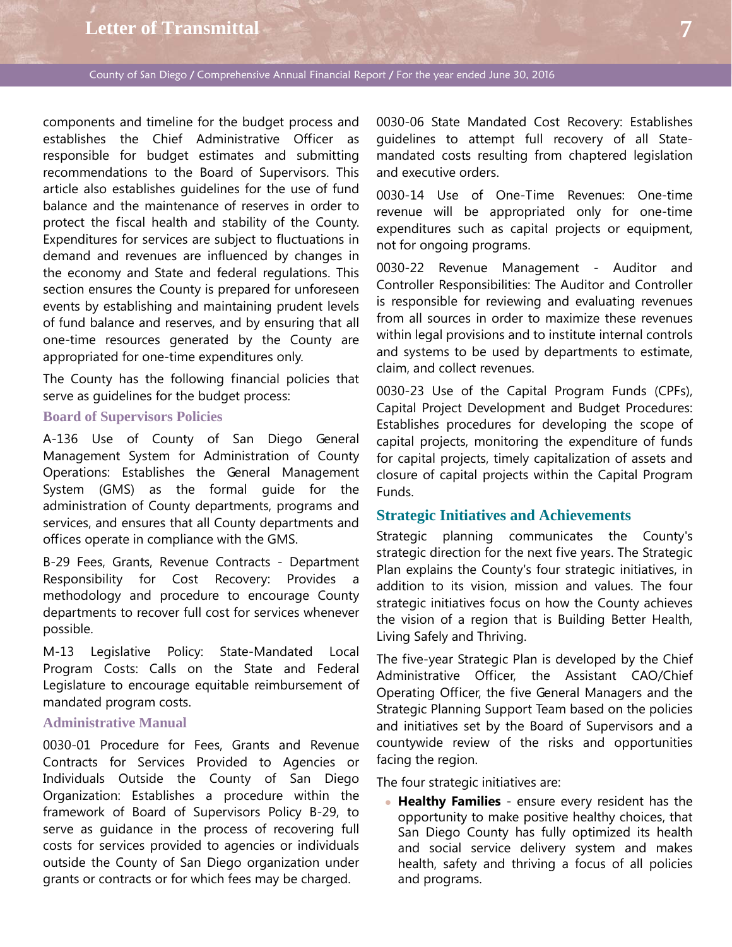# **Letter of Transmittal 7**

County of San Diego / Comprehensive Annual Financial Report / For the year ended June 30, 2016

components and timeline for the budget process and establishes the Chief Administrative Officer as responsible for budget estimates and submitting recommendations to the Board of Supervisors. This article also establishes guidelines for the use of fund balance and the maintenance of reserves in order to protect the fiscal health and stability of the County. Expenditures for services are subject to fluctuations in demand and revenues are influenced by changes in the economy and State and federal regulations. This section ensures the County is prepared for unforeseen events by establishing and maintaining prudent levels of fund balance and reserves, and by ensuring that all one-time resources generated by the County are appropriated for one-time expenditures only.

The County has the following financial policies that serve as guidelines for the budget process:

## **Board of Supervisors Policies**

A-136 Use of County of San Diego General Management System for Administration of County Operations: Establishes the General Management System (GMS) as the formal guide for the administration of County departments, programs and services, and ensures that all County departments and offices operate in compliance with the GMS.

B-29 Fees, Grants, Revenue Contracts - Department Responsibility for Cost Recovery: Provides a methodology and procedure to encourage County departments to recover full cost for services whenever possible.

M-13 Legislative Policy: State-Mandated Local Program Costs: Calls on the State and Federal Legislature to encourage equitable reimbursement of mandated program costs.

## **Administrative Manual**

0030-01 Procedure for Fees, Grants and Revenue Contracts for Services Provided to Agencies or Individuals Outside the County of San Diego Organization: Establishes a procedure within the framework of Board of Supervisors Policy B-29, to serve as guidance in the process of recovering full costs for services provided to agencies or individuals outside the County of San Diego organization under grants or contracts or for which fees may be charged.

0030-06 State Mandated Cost Recovery: Establishes guidelines to attempt full recovery of all Statemandated costs resulting from chaptered legislation and executive orders.

0030-14 Use of One-Time Revenues: One-time revenue will be appropriated only for one-time expenditures such as capital projects or equipment, not for ongoing programs.

0030-22 Revenue Management - Auditor and Controller Responsibilities: The Auditor and Controller is responsible for reviewing and evaluating revenues from all sources in order to maximize these revenues within legal provisions and to institute internal controls and systems to be used by departments to estimate, claim, and collect revenues.

0030-23 Use of the Capital Program Funds (CPFs), Capital Project Development and Budget Procedures: Establishes procedures for developing the scope of capital projects, monitoring the expenditure of funds for capital projects, timely capitalization of assets and closure of capital projects within the Capital Program Funds.

## **Strategic Initiatives and Achievements**

Strategic planning communicates the County's strategic direction for the next five years. The Strategic Plan explains the County's four strategic initiatives, in addition to its vision, mission and values. The four strategic initiatives focus on how the County achieves the vision of a region that is Building Better Health, Living Safely and Thriving.

The five-year Strategic Plan is developed by the Chief Administrative Officer, the Assistant CAO/Chief Operating Officer, the five General Managers and the Strategic Planning Support Team based on the policies and initiatives set by the Board of Supervisors and a countywide review of the risks and opportunities facing the region.

The four strategic initiatives are:

 **Healthy Families** - ensure every resident has the opportunity to make positive healthy choices, that San Diego County has fully optimized its health and social service delivery system and makes health, safety and thriving a focus of all policies and programs.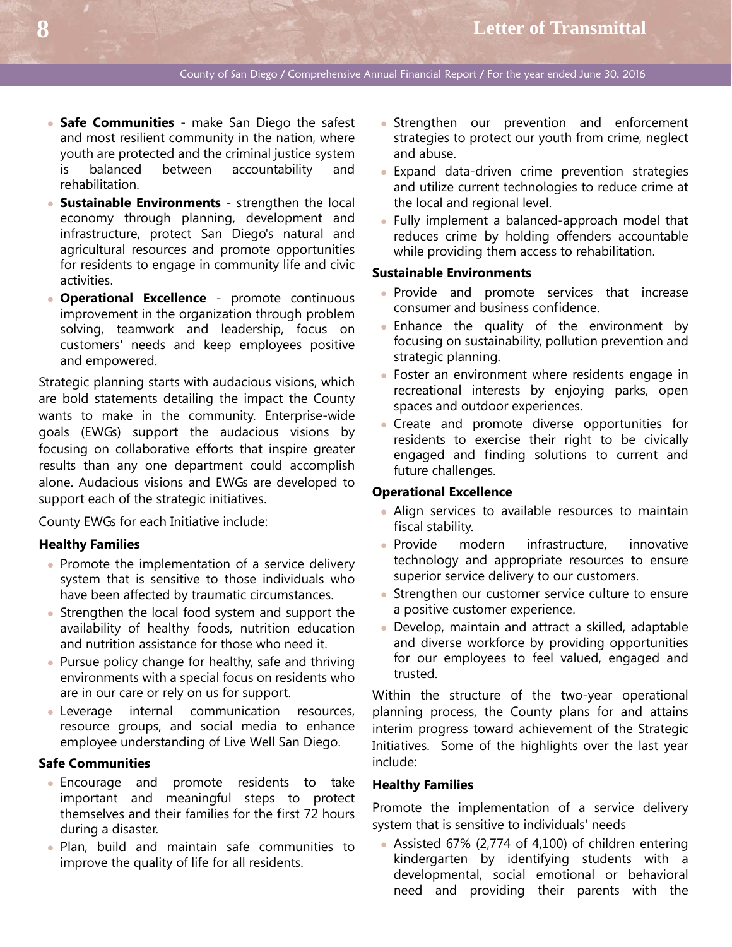- **Safe Communities**  make San Diego the safest and most resilient community in the nation, where youth are protected and the criminal justice system is balanced between accountability and rehabilitation.
- **Sustainable Environments**  strengthen the local economy through planning, development and infrastructure, protect San Diego's natural and agricultural resources and promote opportunities for residents to engage in community life and civic activities.
- **Operational Excellence**  promote continuous improvement in the organization through problem solving, teamwork and leadership, focus on customers' needs and keep employees positive and empowered.

Strategic planning starts with audacious visions, which are bold statements detailing the impact the County wants to make in the community. Enterprise-wide goals (EWGs) support the audacious visions by focusing on collaborative efforts that inspire greater results than any one department could accomplish alone. Audacious visions and EWGs are developed to support each of the strategic initiatives.

County EWGs for each Initiative include:

#### **Healthy Families**

- Promote the implementation of a service delivery system that is sensitive to those individuals who have been affected by traumatic circumstances.
- Strengthen the local food system and support the availability of healthy foods, nutrition education and nutrition assistance for those who need it.
- Pursue policy change for healthy, safe and thriving environments with a special focus on residents who are in our care or rely on us for support.
- Leverage internal communication resources, resource groups, and social media to enhance employee understanding of Live Well San Diego.

#### **Safe Communities**

- Encourage and promote residents to take important and meaningful steps to protect themselves and their families for the first 72 hours during a disaster.
- Plan, build and maintain safe communities to improve the quality of life for all residents.
- Strengthen our prevention and enforcement strategies to protect our youth from crime, neglect and abuse.
- Expand data-driven crime prevention strategies and utilize current technologies to reduce crime at the local and regional level.
- Fully implement a balanced-approach model that reduces crime by holding offenders accountable while providing them access to rehabilitation.

#### **Sustainable Environments**

- Provide and promote services that increase consumer and business confidence.
- Enhance the quality of the environment by focusing on sustainability, pollution prevention and strategic planning.
- Foster an environment where residents engage in recreational interests by enjoying parks, open spaces and outdoor experiences.
- Create and promote diverse opportunities for residents to exercise their right to be civically engaged and finding solutions to current and future challenges.

#### **Operational Excellence**

- Align services to available resources to maintain fiscal stability.
- Provide modern infrastructure, innovative technology and appropriate resources to ensure superior service delivery to our customers.
- **Strengthen our customer service culture to ensure** a positive customer experience.
- Develop, maintain and attract a skilled, adaptable and diverse workforce by providing opportunities for our employees to feel valued, engaged and trusted.

Within the structure of the two-year operational planning process, the County plans for and attains interim progress toward achievement of the Strategic Initiatives. Some of the highlights over the last year include:

#### **Healthy Families**

Promote the implementation of a service delivery system that is sensitive to individuals' needs

 Assisted 67% (2,774 of 4,100) of children entering kindergarten by identifying students with a developmental, social emotional or behavioral need and providing their parents with the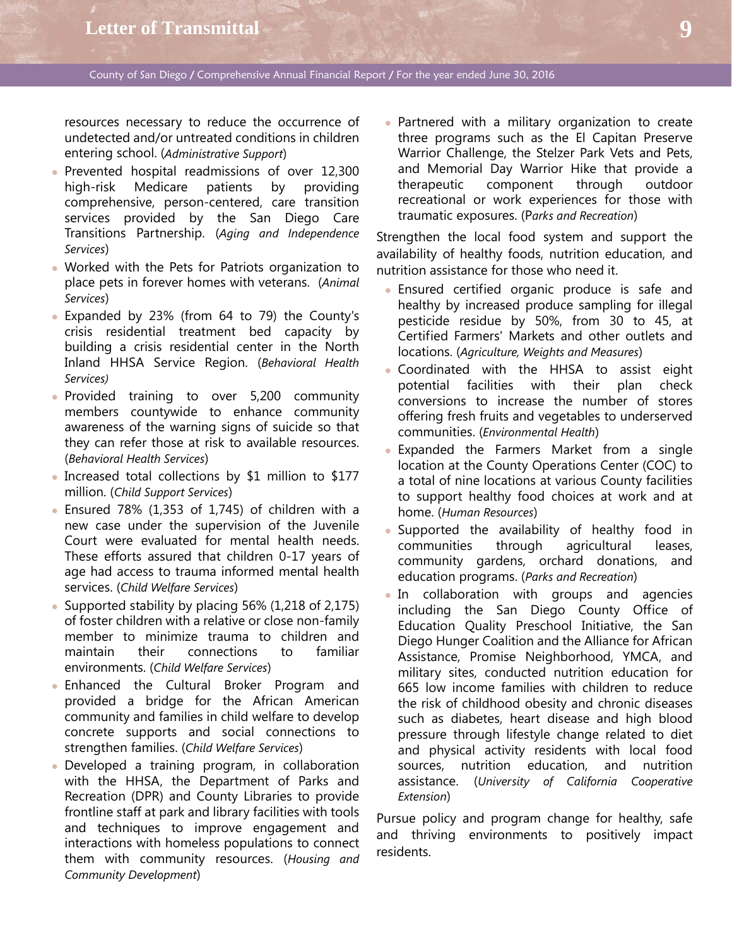resources necessary to reduce the occurrence of undetected and/or untreated conditions in children entering school. (*Administrative Support*)

- Prevented hospital readmissions of over 12,300 high-risk Medicare patients by providing comprehensive, person-centered, care transition services provided by the San Diego Care Transitions Partnership. (*Aging and Independence Services*)
- Worked with the Pets for Patriots organization to place pets in forever homes with veterans. (*Animal Services*)
- Expanded by 23% (from 64 to 79) the County's crisis residential treatment bed capacity by building a crisis residential center in the North Inland HHSA Service Region. (*Behavioral Health Services)*
- Provided training to over 5,200 community members countywide to enhance community awareness of the warning signs of suicide so that they can refer those at risk to available resources. (*Behavioral Health Services*)
- Increased total collections by \$1 million to \$177 million. (*Child Support Services*)
- $\bullet$  Ensured 78% (1,353 of 1,745) of children with a new case under the supervision of the Juvenile Court were evaluated for mental health needs. These efforts assured that children 0-17 years of age had access to trauma informed mental health services. (*Child Welfare Services*)
- Supported stability by placing 56% (1,218 of 2,175) of foster children with a relative or close non-family member to minimize trauma to children and maintain their connections to familiar environments. (*Child Welfare Services*)
- Enhanced the Cultural Broker Program and provided a bridge for the African American community and families in child welfare to develop concrete supports and social connections to strengthen families. (*Child Welfare Services*)
- Developed a training program, in collaboration with the HHSA, the Department of Parks and Recreation (DPR) and County Libraries to provide frontline staff at park and library facilities with tools and techniques to improve engagement and interactions with homeless populations to connect them with community resources. (*Housing and Community Development*)

• Partnered with a military organization to create three programs such as the El Capitan Preserve Warrior Challenge, the Stelzer Park Vets and Pets, and Memorial Day Warrior Hike that provide a therapeutic component through outdoor recreational or work experiences for those with traumatic exposures. (P*arks and Recreation*)

Strengthen the local food system and support the availability of healthy foods, nutrition education, and nutrition assistance for those who need it.

- Ensured certified organic produce is safe and healthy by increased produce sampling for illegal pesticide residue by 50%, from 30 to 45, at Certified Farmers' Markets and other outlets and locations. (*Agriculture, Weights and Measures*)
- Coordinated with the HHSA to assist eight potential facilities with their plan check conversions to increase the number of stores offering fresh fruits and vegetables to underserved communities. (*Environmental Health*)
- Expanded the Farmers Market from a single location at the County Operations Center (COC) to a total of nine locations at various County facilities to support healthy food choices at work and at home. (*Human Resources*)
- Supported the availability of healthy food in communities through agricultural leases, community gardens, orchard donations, and education programs. (*Parks and Recreation*)
- In collaboration with groups and agencies including the San Diego County Office of Education Quality Preschool Initiative, the San Diego Hunger Coalition and the Alliance for African Assistance, Promise Neighborhood, YMCA, and military sites, conducted nutrition education for 665 low income families with children to reduce the risk of childhood obesity and chronic diseases such as diabetes, heart disease and high blood pressure through lifestyle change related to diet and physical activity residents with local food sources, nutrition education, and nutrition assistance. (*University of California Cooperative Extension*)

Pursue policy and program change for healthy, safe and thriving environments to positively impact residents.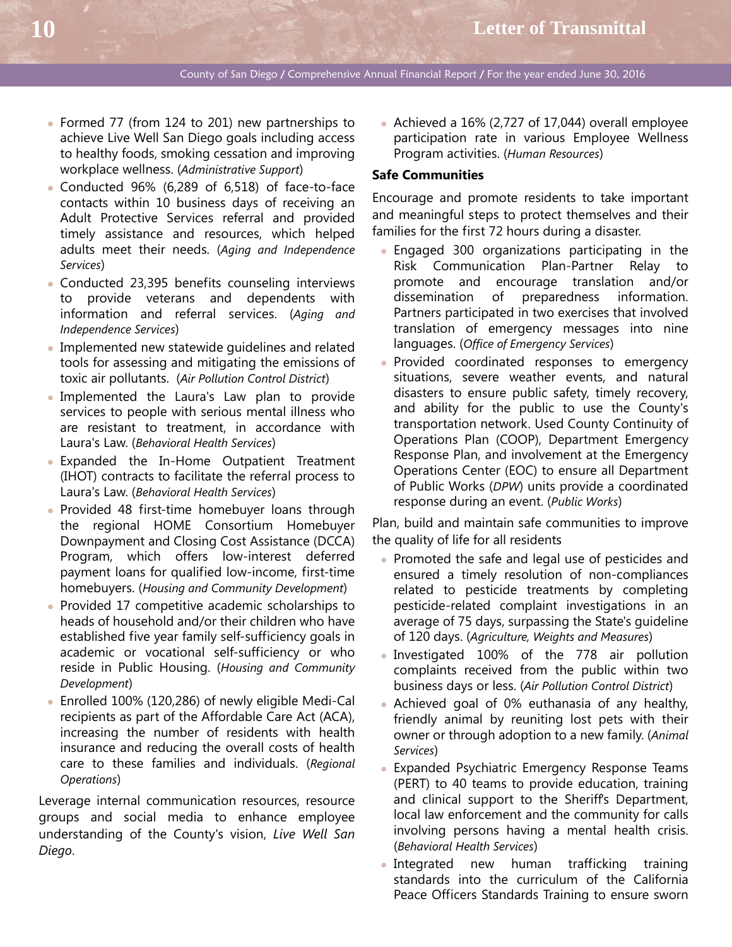- Formed 77 (from 124 to 201) new partnerships to achieve Live Well San Diego goals including access to healthy foods, smoking cessation and improving workplace wellness. (*Administrative Support*)
- Conducted 96% (6,289 of 6,518) of face-to-face contacts within 10 business days of receiving an Adult Protective Services referral and provided timely assistance and resources, which helped adults meet their needs. (*Aging and Independence Services*)
- Conducted 23,395 benefits counseling interviews to provide veterans and dependents with information and referral services. (*Aging and Independence Services*)
- Implemented new statewide quidelines and related tools for assessing and mitigating the emissions of toxic air pollutants. (*Air Pollution Control District*)
- Implemented the Laura's Law plan to provide services to people with serious mental illness who are resistant to treatment, in accordance with Laura's Law. (*Behavioral Health Services*)
- Expanded the In-Home Outpatient Treatment (IHOT) contracts to facilitate the referral process to Laura's Law. (*Behavioral Health Services*)
- Provided 48 first-time homebuyer loans through the regional HOME Consortium Homebuyer Downpayment and Closing Cost Assistance (DCCA) Program, which offers low-interest deferred payment loans for qualified low-income, first-time homebuyers. (*Housing and Community Development*)
- Provided 17 competitive academic scholarships to heads of household and/or their children who have established five year family self-sufficiency goals in academic or vocational self-sufficiency or who reside in Public Housing. (*Housing and Community Development*)
- Enrolled 100% (120,286) of newly eligible Medi-Cal recipients as part of the Affordable Care Act (ACA), increasing the number of residents with health insurance and reducing the overall costs of health care to these families and individuals. (*Regional Operations*)

Leverage internal communication resources, resource groups and social media to enhance employee understanding of the County's vision, *Live Well San Diego*.

 Achieved a 16% (2,727 of 17,044) overall employee participation rate in various Employee Wellness Program activities. (*Human Resources*)

#### **Safe Communities**

Encourage and promote residents to take important and meaningful steps to protect themselves and their families for the first 72 hours during a disaster.

- Engaged 300 organizations participating in the Risk Communication Plan-Partner Relay to promote and encourage translation and/or dissemination of preparedness information. Partners participated in two exercises that involved translation of emergency messages into nine languages. (*Office of Emergency Services*)
- Provided coordinated responses to emergency situations, severe weather events, and natural disasters to ensure public safety, timely recovery, and ability for the public to use the County's transportation network. Used County Continuity of Operations Plan (COOP), Department Emergency Response Plan, and involvement at the Emergency Operations Center (EOC) to ensure all Department of Public Works (*DPW*) units provide a coordinated response during an event. (*Public Works*)

Plan, build and maintain safe communities to improve the quality of life for all residents

- Promoted the safe and legal use of pesticides and ensured a timely resolution of non-compliances related to pesticide treatments by completing pesticide-related complaint investigations in an average of 75 days, surpassing the State's guideline of 120 days. (*Agriculture, Weights and Measures*)
- Investigated 100% of the 778 air pollution complaints received from the public within two business days or less. (*Air Pollution Control District*)
- Achieved goal of 0% euthanasia of any healthy, friendly animal by reuniting lost pets with their owner or through adoption to a new family. (*Animal Services*)
- Expanded Psychiatric Emergency Response Teams (PERT) to 40 teams to provide education, training and clinical support to the Sheriff's Department, local law enforcement and the community for calls involving persons having a mental health crisis. (*Behavioral Health Services*)
- Integrated new human trafficking training standards into the curriculum of the California Peace Officers Standards Training to ensure sworn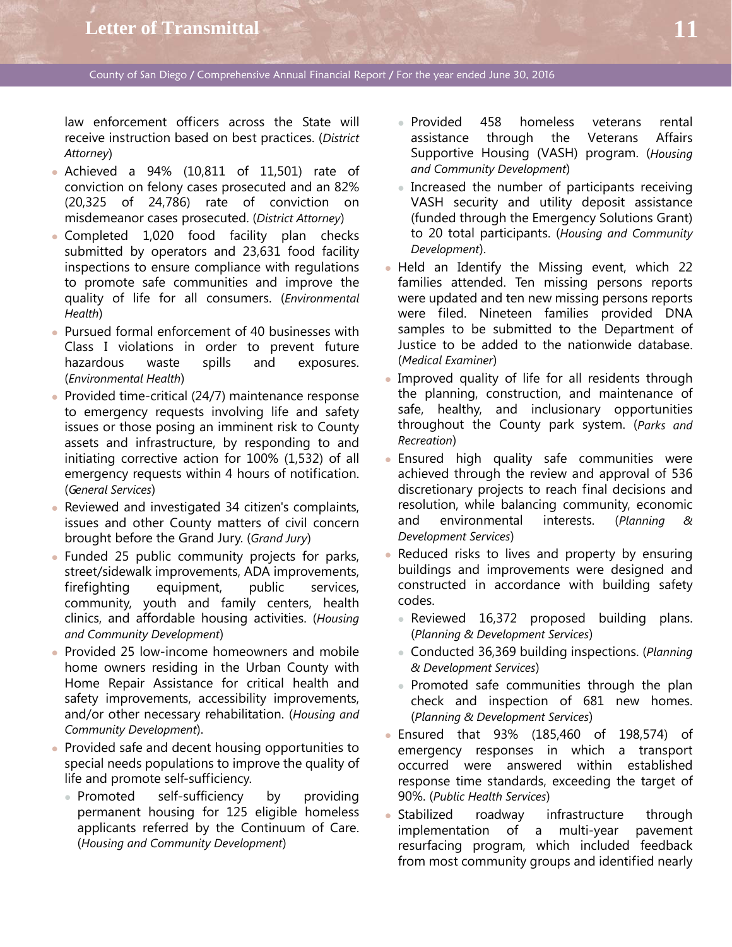law enforcement officers across the State will receive instruction based on best practices. (*District Attorney*)

- Achieved a 94% (10,811 of 11,501) rate of conviction on felony cases prosecuted and an 82% (20,325 of 24,786) rate of conviction on misdemeanor cases prosecuted. (*District Attorney*)
- Completed 1,020 food facility plan checks submitted by operators and 23,631 food facility inspections to ensure compliance with regulations to promote safe communities and improve the quality of life for all consumers. (*Environmental Health*)
- Pursued formal enforcement of 40 businesses with Class I violations in order to prevent future hazardous waste spills and exposures. (*Environmental Health*)
- Provided time-critical (24/7) maintenance response to emergency requests involving life and safety issues or those posing an imminent risk to County assets and infrastructure, by responding to and initiating corrective action for 100% (1,532) of all emergency requests within 4 hours of notification. (*General Services*)
- Reviewed and investigated 34 citizen's complaints, issues and other County matters of civil concern brought before the Grand Jury. (*Grand Jury*)
- Funded 25 public community projects for parks, street/sidewalk improvements, ADA improvements, firefighting equipment, public services, community, youth and family centers, health clinics, and affordable housing activities. (*Housing and Community Development*)
- Provided 25 low-income homeowners and mobile home owners residing in the Urban County with Home Repair Assistance for critical health and safety improvements, accessibility improvements, and/or other necessary rehabilitation. (*Housing and Community Development*).
- Provided safe and decent housing opportunities to special needs populations to improve the quality of life and promote self-sufficiency.
	- Promoted self-sufficiency by providing permanent housing for 125 eligible homeless applicants referred by the Continuum of Care. (*Housing and Community Development*)
- Provided 458 homeless veterans rental assistance through the Veterans Affairs Supportive Housing (VASH) program. (*Housing and Community Development*)
- Increased the number of participants receiving VASH security and utility deposit assistance (funded through the Emergency Solutions Grant) to 20 total participants. (*Housing and Community Development*).
- Held an Identify the Missing event, which 22 families attended. Ten missing persons reports were updated and ten new missing persons reports were filed. Nineteen families provided DNA samples to be submitted to the Department of Justice to be added to the nationwide database. (*Medical Examiner*)
- Improved quality of life for all residents through the planning, construction, and maintenance of safe, healthy, and inclusionary opportunities throughout the County park system. (*Parks and Recreation*)
- Ensured high quality safe communities were achieved through the review and approval of 536 discretionary projects to reach final decisions and resolution, while balancing community, economic and environmental interests. (*Planning & Development Services*)
- Reduced risks to lives and property by ensuring buildings and improvements were designed and constructed in accordance with building safety codes.
	- Reviewed 16,372 proposed building plans. (*Planning & Development Services*)
	- Conducted 36,369 building inspections. (*Planning & Development Services*)
	- Promoted safe communities through the plan check and inspection of 681 new homes. (*Planning & Development Services*)
- Ensured that 93% (185,460 of 198,574) of emergency responses in which a transport occurred were answered within established response time standards, exceeding the target of 90%. (*Public Health Services*)
- Stabilized roadway infrastructure through implementation of a multi-year pavement resurfacing program, which included feedback from most community groups and identified nearly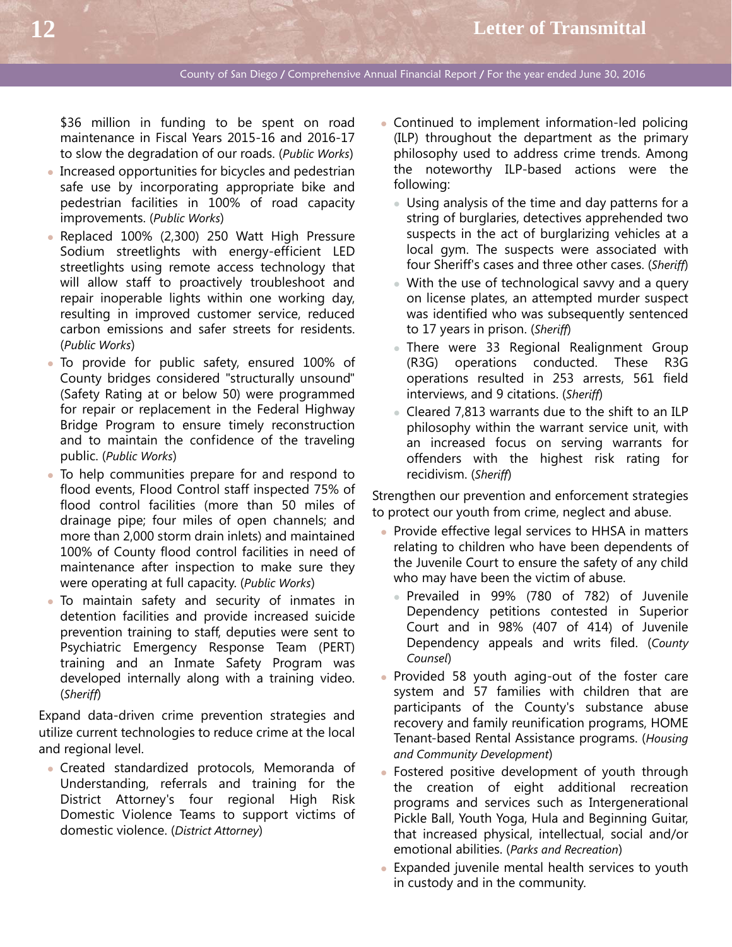\$36 million in funding to be spent on road maintenance in Fiscal Years 2015-16 and 2016-17 to slow the degradation of our roads. (*Public Works*)

- Increased opportunities for bicycles and pedestrian safe use by incorporating appropriate bike and pedestrian facilities in 100% of road capacity improvements. (*Public Works*)
- Replaced 100% (2,300) 250 Watt High Pressure Sodium streetlights with energy-efficient LED streetlights using remote access technology that will allow staff to proactively troubleshoot and repair inoperable lights within one working day, resulting in improved customer service, reduced carbon emissions and safer streets for residents. (*Public Works*)
- To provide for public safety, ensured 100% of County bridges considered "structurally unsound" (Safety Rating at or below 50) were programmed for repair or replacement in the Federal Highway Bridge Program to ensure timely reconstruction and to maintain the confidence of the traveling public. (*Public Works*)
- To help communities prepare for and respond to flood events, Flood Control staff inspected 75% of flood control facilities (more than 50 miles of drainage pipe; four miles of open channels; and more than 2,000 storm drain inlets) and maintained 100% of County flood control facilities in need of maintenance after inspection to make sure they were operating at full capacity. (*Public Works*)
- To maintain safety and security of inmates in detention facilities and provide increased suicide prevention training to staff, deputies were sent to Psychiatric Emergency Response Team (PERT) training and an Inmate Safety Program was developed internally along with a training video. (*Sheriff*)

Expand data-driven crime prevention strategies and utilize current technologies to reduce crime at the local and regional level.

 Created standardized protocols, Memoranda of Understanding, referrals and training for the District Attorney's four regional High Risk Domestic Violence Teams to support victims of domestic violence. (*District Attorney*)

- Continued to implement information-led policing (ILP) throughout the department as the primary philosophy used to address crime trends. Among the noteworthy ILP-based actions were the following:
	- Using analysis of the time and day patterns for a string of burglaries, detectives apprehended two suspects in the act of burglarizing vehicles at a local gym. The suspects were associated with four Sheriff's cases and three other cases. (*Sheriff*)
	- With the use of technological savvy and a query on license plates, an attempted murder suspect was identified who was subsequently sentenced to 17 years in prison. (*Sheriff*)
	- There were 33 Regional Realignment Group (R3G) operations conducted. These R3G operations resulted in 253 arrests, 561 field interviews, and 9 citations. (*Sheriff*)
	- Cleared 7,813 warrants due to the shift to an ILP philosophy within the warrant service unit, with an increased focus on serving warrants for offenders with the highest risk rating for recidivism. (*Sheriff*)

Strengthen our prevention and enforcement strategies to protect our youth from crime, neglect and abuse.

- Provide effective legal services to HHSA in matters relating to children who have been dependents of the Juvenile Court to ensure the safety of any child who may have been the victim of abuse.
	- Prevailed in 99% (780 of 782) of Juvenile Dependency petitions contested in Superior Court and in 98% (407 of 414) of Juvenile Dependency appeals and writs filed. (*County Counsel*)
- Provided 58 youth aging-out of the foster care system and 57 families with children that are participants of the County's substance abuse recovery and family reunification programs, HOME Tenant-based Rental Assistance programs. (*Housing and Community Development*)
- Fostered positive development of youth through the creation of eight additional recreation programs and services such as Intergenerational Pickle Ball, Youth Yoga, Hula and Beginning Guitar, that increased physical, intellectual, social and/or emotional abilities. (*Parks and Recreation*)
- Expanded juvenile mental health services to youth in custody and in the community.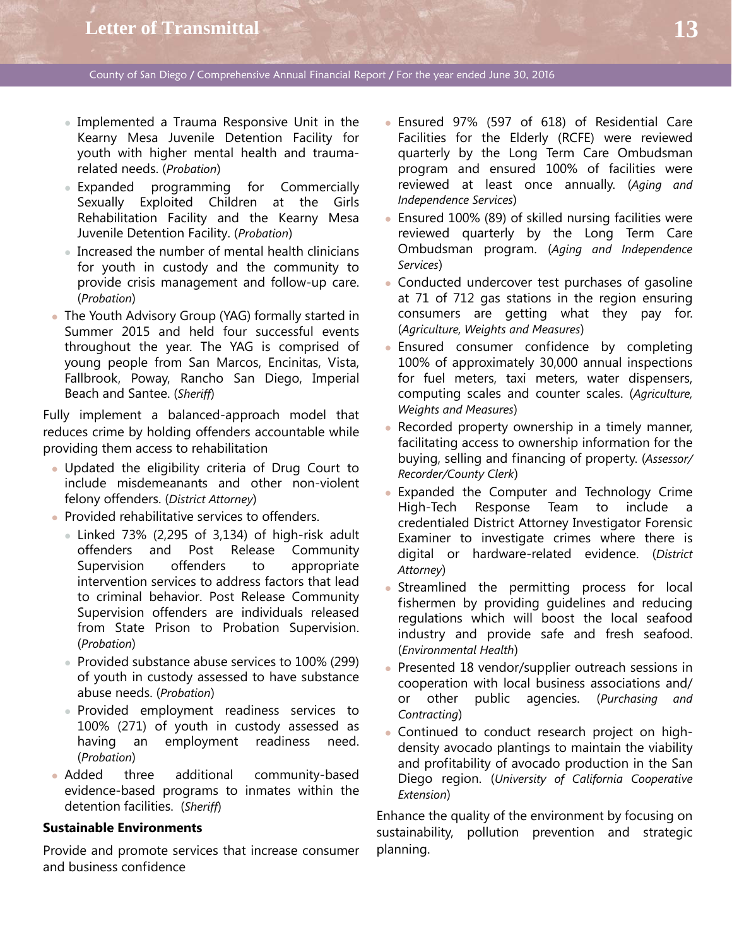- Implemented a Trauma Responsive Unit in the Kearny Mesa Juvenile Detention Facility for youth with higher mental health and traumarelated needs. (*Probation*)
- Expanded programming for Commercially Sexually Exploited Children at the Girls Rehabilitation Facility and the Kearny Mesa Juvenile Detention Facility. (*Probation*)
- Increased the number of mental health clinicians for youth in custody and the community to provide crisis management and follow-up care. (*Probation*)
- The Youth Advisory Group (YAG) formally started in Summer 2015 and held four successful events throughout the year. The YAG is comprised of young people from San Marcos, Encinitas, Vista, Fallbrook, Poway, Rancho San Diego, Imperial Beach and Santee. (*Sheriff*)

Fully implement a balanced-approach model that reduces crime by holding offenders accountable while providing them access to rehabilitation

- Updated the eligibility criteria of Drug Court to include misdemeanants and other non-violent felony offenders. (*District Attorney*)
- Provided rehabilitative services to offenders.
	- $\bullet$  Linked 73% (2,295 of 3,134) of high-risk adult offenders and Post Release Community Supervision offenders to appropriate intervention services to address factors that lead to criminal behavior. Post Release Community Supervision offenders are individuals released from State Prison to Probation Supervision. (*Probation*)
	- Provided substance abuse services to 100% (299) of youth in custody assessed to have substance abuse needs. (*Probation*)
	- Provided employment readiness services to 100% (271) of youth in custody assessed as having an employment readiness need. (*Probation*)
- Added three additional community-based evidence-based programs to inmates within the detention facilities. (*Sheriff*)

### **Sustainable Environments**

Provide and promote services that increase consumer and business confidence

- Ensured 97% (597 of 618) of Residential Care Facilities for the Elderly (RCFE) were reviewed quarterly by the Long Term Care Ombudsman program and ensured 100% of facilities were reviewed at least once annually. (*Aging and Independence Services*)
- Ensured 100% (89) of skilled nursing facilities were reviewed quarterly by the Long Term Care Ombudsman program. (*Aging and Independence Services*)
- Conducted undercover test purchases of gasoline at 71 of 712 gas stations in the region ensuring consumers are getting what they pay for. (*Agriculture, Weights and Measures*)
- Ensured consumer confidence by completing 100% of approximately 30,000 annual inspections for fuel meters, taxi meters, water dispensers, computing scales and counter scales. (*Agriculture, Weights and Measures*)
- Recorded property ownership in a timely manner, facilitating access to ownership information for the buying, selling and financing of property. (*Assessor/ Recorder/County Clerk*)
- Expanded the Computer and Technology Crime High-Tech Response Team to include a credentialed District Attorney Investigator Forensic Examiner to investigate crimes where there is digital or hardware-related evidence. (*District Attorney*)
- Streamlined the permitting process for local fishermen by providing guidelines and reducing regulations which will boost the local seafood industry and provide safe and fresh seafood. (*Environmental Health*)
- Presented 18 vendor/supplier outreach sessions in cooperation with local business associations and/ or other public agencies. (*Purchasing and Contracting*)
- Continued to conduct research project on highdensity avocado plantings to maintain the viability and profitability of avocado production in the San Diego region. (*University of California Cooperative Extension*)

Enhance the quality of the environment by focusing on sustainability, pollution prevention and strategic planning.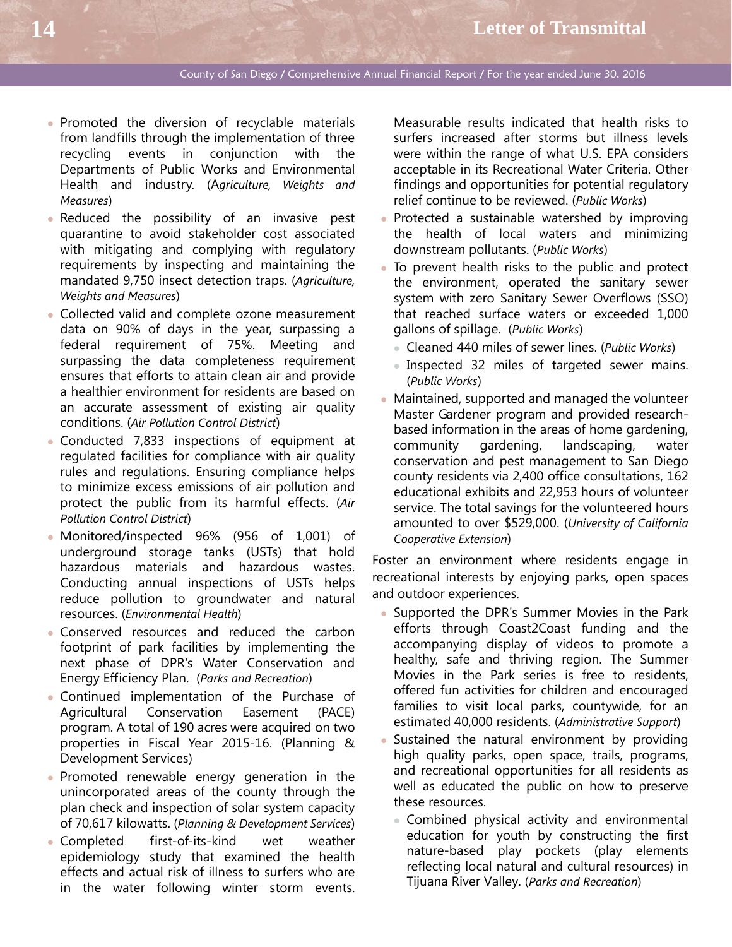- Promoted the diversion of recyclable materials from landfills through the implementation of three recycling events in conjunction with the Departments of Public Works and Environmental Health and industry. (A*griculture, Weights and Measures*)
- **Reduced the possibility of an invasive pest** quarantine to avoid stakeholder cost associated with mitigating and complying with regulatory requirements by inspecting and maintaining the mandated 9,750 insect detection traps. (*Agriculture, Weights and Measures*)
- Collected valid and complete ozone measurement data on 90% of days in the year, surpassing a federal requirement of 75%. Meeting and surpassing the data completeness requirement ensures that efforts to attain clean air and provide a healthier environment for residents are based on an accurate assessment of existing air quality conditions. (*Air Pollution Control District*)
- Conducted 7,833 inspections of equipment at regulated facilities for compliance with air quality rules and regulations. Ensuring compliance helps to minimize excess emissions of air pollution and protect the public from its harmful effects. (*Air Pollution Control District*)
- Monitored/inspected 96% (956 of 1,001) of underground storage tanks (USTs) that hold hazardous materials and hazardous wastes. Conducting annual inspections of USTs helps reduce pollution to groundwater and natural resources. (*Environmental Health*)
- Conserved resources and reduced the carbon footprint of park facilities by implementing the next phase of DPR's Water Conservation and Energy Efficiency Plan. (*Parks and Recreation*)
- Continued implementation of the Purchase of Agricultural Conservation Easement (PACE) program. A total of 190 acres were acquired on two properties in Fiscal Year 2015-16. (Planning & Development Services)
- Promoted renewable energy generation in the unincorporated areas of the county through the plan check and inspection of solar system capacity of 70,617 kilowatts. (*Planning & Development Services*)
- Completed first-of-its-kind wet weather epidemiology study that examined the health effects and actual risk of illness to surfers who are in the water following winter storm events.

Measurable results indicated that health risks to surfers increased after storms but illness levels were within the range of what U.S. EPA considers acceptable in its Recreational Water Criteria. Other findings and opportunities for potential regulatory relief continue to be reviewed. (*Public Works*)

- Protected a sustainable watershed by improving the health of local waters and minimizing downstream pollutants. (*Public Works*)
- To prevent health risks to the public and protect the environment, operated the sanitary sewer system with zero Sanitary Sewer Overflows (SSO) that reached surface waters or exceeded 1,000 gallons of spillage. (*Public Works*)
	- Cleaned 440 miles of sewer lines. (*Public Works*)
	- Inspected 32 miles of targeted sewer mains. (*Public Works*)
- Maintained, supported and managed the volunteer Master Gardener program and provided researchbased information in the areas of home gardening, community gardening, landscaping, water conservation and pest management to San Diego county residents via 2,400 office consultations, 162 educational exhibits and 22,953 hours of volunteer service. The total savings for the volunteered hours amounted to over \$529,000. (*University of California Cooperative Extension*)

Foster an environment where residents engage in recreational interests by enjoying parks, open spaces and outdoor experiences.

- Supported the DPR's Summer Movies in the Park efforts through Coast2Coast funding and the accompanying display of videos to promote a healthy, safe and thriving region. The Summer Movies in the Park series is free to residents, offered fun activities for children and encouraged families to visit local parks, countywide, for an estimated 40,000 residents. (*Administrative Support*)
- Sustained the natural environment by providing high quality parks, open space, trails, programs, and recreational opportunities for all residents as well as educated the public on how to preserve these resources.
	- Combined physical activity and environmental education for youth by constructing the first nature-based play pockets (play elements reflecting local natural and cultural resources) in Tijuana River Valley. (*Parks and Recreation*)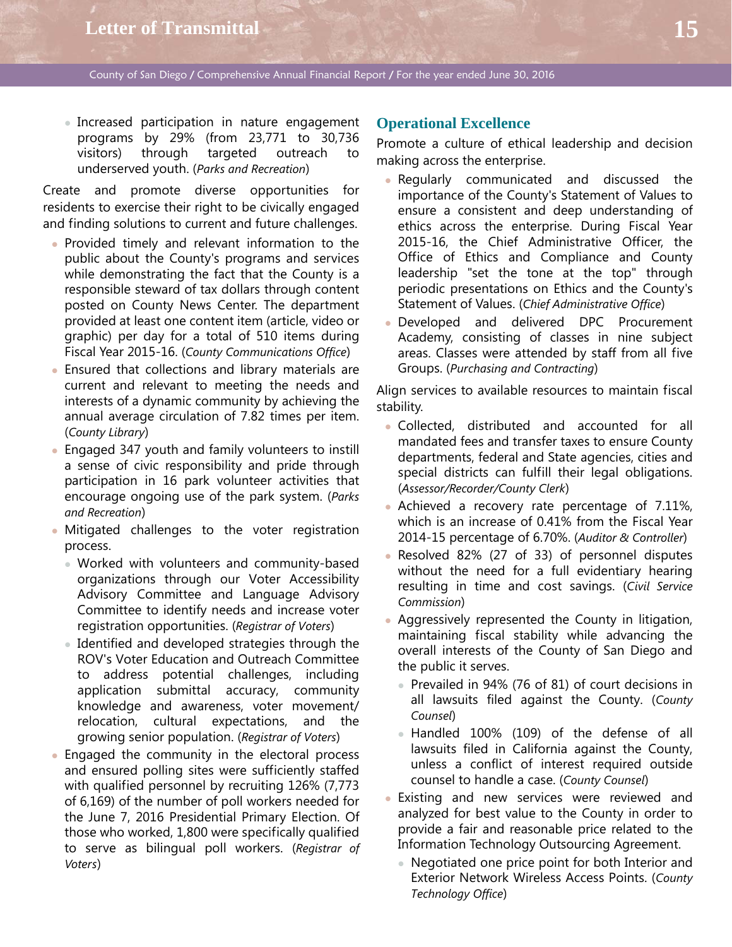Increased participation in nature engagement programs by 29% (from 23,771 to 30,736 visitors) through targeted outreach to underserved youth. (*Parks and Recreation*)

Create and promote diverse opportunities for residents to exercise their right to be civically engaged and finding solutions to current and future challenges.

- Provided timely and relevant information to the public about the County's programs and services while demonstrating the fact that the County is a responsible steward of tax dollars through content posted on County News Center. The department provided at least one content item (article, video or graphic) per day for a total of 510 items during Fiscal Year 2015-16. (*County Communications Office*)
- Ensured that collections and library materials are current and relevant to meeting the needs and interests of a dynamic community by achieving the annual average circulation of 7.82 times per item. (*County Library*)
- Engaged 347 youth and family volunteers to instill a sense of civic responsibility and pride through participation in 16 park volunteer activities that encourage ongoing use of the park system. (*Parks and Recreation*)
- Mitigated challenges to the voter registration process.
	- Worked with volunteers and community-based organizations through our Voter Accessibility Advisory Committee and Language Advisory Committee to identify needs and increase voter registration opportunities. (*Registrar of Voters*)
	- Identified and developed strategies through the ROV's Voter Education and Outreach Committee to address potential challenges, including application submittal accuracy, community knowledge and awareness, voter movement/ relocation, cultural expectations, and the growing senior population. (*Registrar of Voters*)
- Engaged the community in the electoral process and ensured polling sites were sufficiently staffed with qualified personnel by recruiting 126% (7,773 of 6,169) of the number of poll workers needed for the June 7, 2016 Presidential Primary Election. Of those who worked, 1,800 were specifically qualified to serve as bilingual poll workers. (*Registrar of Voters*)

## **Operational Excellence**

Promote a culture of ethical leadership and decision making across the enterprise.

- Regularly communicated and discussed the importance of the County's Statement of Values to ensure a consistent and deep understanding of ethics across the enterprise. During Fiscal Year 2015-16, the Chief Administrative Officer, the Office of Ethics and Compliance and County leadership "set the tone at the top" through periodic presentations on Ethics and the County's Statement of Values. (*Chief Administrative Office*)
- Developed and delivered DPC Procurement Academy, consisting of classes in nine subject areas. Classes were attended by staff from all five Groups. (*Purchasing and Contracting*)

Align services to available resources to maintain fiscal stability.

- Collected, distributed and accounted for all mandated fees and transfer taxes to ensure County departments, federal and State agencies, cities and special districts can fulfill their legal obligations. (*Assessor/Recorder/County Clerk*)
- Achieved a recovery rate percentage of 7.11%, which is an increase of 0.41% from the Fiscal Year 2014-15 percentage of 6.70%. (*Auditor & Controller*)
- Resolved 82% (27 of 33) of personnel disputes without the need for a full evidentiary hearing resulting in time and cost savings. (*Civil Service Commission*)
- Aggressively represented the County in litigation, maintaining fiscal stability while advancing the overall interests of the County of San Diego and the public it serves.
	- Prevailed in 94% (76 of 81) of court decisions in all lawsuits filed against the County. (*County Counsel*)
	- Handled 100% (109) of the defense of all lawsuits filed in California against the County, unless a conflict of interest required outside counsel to handle a case. (*County Counsel*)
- Existing and new services were reviewed and analyzed for best value to the County in order to provide a fair and reasonable price related to the Information Technology Outsourcing Agreement.
	- Negotiated one price point for both Interior and Exterior Network Wireless Access Points. (*County Technology Office*)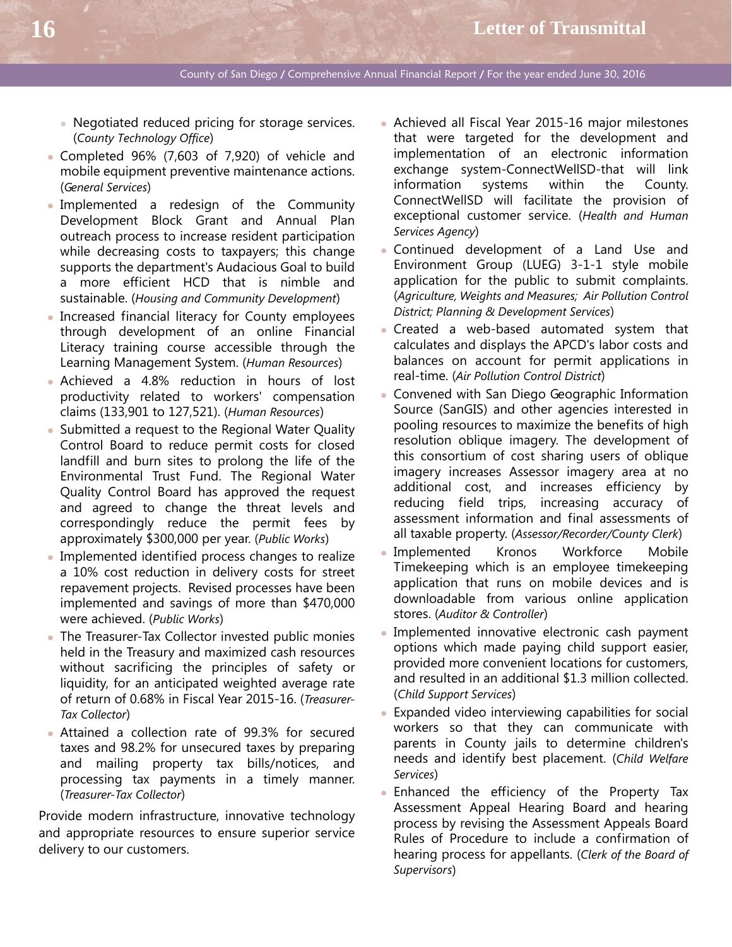- Negotiated reduced pricing for storage services. (*County Technology Office*)
- Completed 96% (7,603 of 7,920) of vehicle and mobile equipment preventive maintenance actions. (*General Services*)
- Implemented a redesign of the Community Development Block Grant and Annual Plan outreach process to increase resident participation while decreasing costs to taxpayers; this change supports the department's Audacious Goal to build a more efficient HCD that is nimble and sustainable. (*Housing and Community Development*)
- Increased financial literacy for County employees through development of an online Financial Literacy training course accessible through the Learning Management System. (*Human Resources*)
- Achieved a 4.8% reduction in hours of lost productivity related to workers' compensation claims (133,901 to 127,521). (*Human Resources*)
- Submitted a request to the Regional Water Quality Control Board to reduce permit costs for closed landfill and burn sites to prolong the life of the Environmental Trust Fund. The Regional Water Quality Control Board has approved the request and agreed to change the threat levels and correspondingly reduce the permit fees by approximately \$300,000 per year. (*Public Works*)
- Implemented identified process changes to realize a 10% cost reduction in delivery costs for street repavement projects. Revised processes have been implemented and savings of more than \$470,000 were achieved. (*Public Works*)
- The Treasurer-Tax Collector invested public monies held in the Treasury and maximized cash resources without sacrificing the principles of safety or liquidity, for an anticipated weighted average rate of return of 0.68% in Fiscal Year 2015-16. (*Treasurer-Tax Collector*)
- Attained a collection rate of 99.3% for secured taxes and 98.2% for unsecured taxes by preparing and mailing property tax bills/notices, and processing tax payments in a timely manner. (*Treasurer-Tax Collector*)

Provide modern infrastructure, innovative technology and appropriate resources to ensure superior service delivery to our customers.

- Achieved all Fiscal Year 2015-16 major milestones that were targeted for the development and implementation of an electronic information exchange system-ConnectWellSD-that will link information systems within the County. ConnectWellSD will facilitate the provision of exceptional customer service. (*Health and Human Services Agency*)
- Continued development of a Land Use and Environment Group (LUEG) 3-1-1 style mobile application for the public to submit complaints. (*Agriculture, Weights and Measures; Air Pollution Control District; Planning & Development Services*)
- Created a web-based automated system that calculates and displays the APCD's labor costs and balances on account for permit applications in real-time. (*Air Pollution Control District*)
- Convened with San Diego Geographic Information Source (SanGIS) and other agencies interested in pooling resources to maximize the benefits of high resolution oblique imagery. The development of this consortium of cost sharing users of oblique imagery increases Assessor imagery area at no additional cost, and increases efficiency by reducing field trips, increasing accuracy of assessment information and final assessments of all taxable property. (*Assessor/Recorder/County Clerk*)
- Implemented Kronos Workforce Mobile Timekeeping which is an employee timekeeping application that runs on mobile devices and is downloadable from various online application stores. (*Auditor & Controller*)
- Implemented innovative electronic cash payment options which made paying child support easier, provided more convenient locations for customers, and resulted in an additional \$1.3 million collected. (*Child Support Services*)
- Expanded video interviewing capabilities for social workers so that they can communicate with parents in County jails to determine children's needs and identify best placement. (*Child Welfare Services*)
- Enhanced the efficiency of the Property Tax Assessment Appeal Hearing Board and hearing process by revising the Assessment Appeals Board Rules of Procedure to include a confirmation of hearing process for appellants. (*Clerk of the Board of Supervisors*)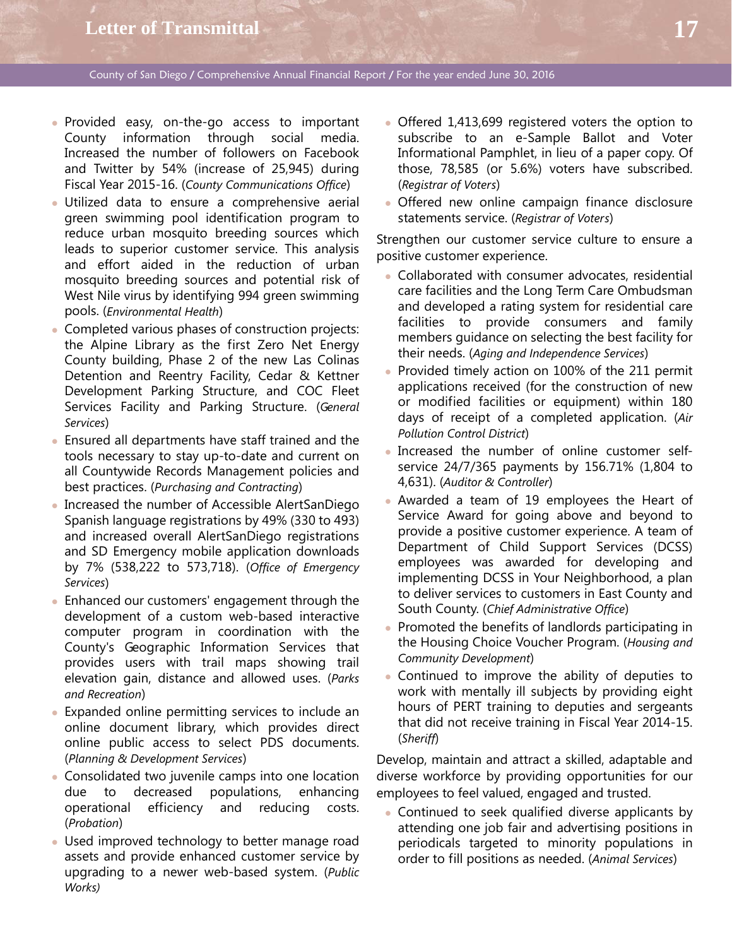- Provided easy, on-the-go access to important County information through social media. Increased the number of followers on Facebook and Twitter by 54% (increase of 25,945) during Fiscal Year 2015-16. (*County Communications Office*)
- Utilized data to ensure a comprehensive aerial green swimming pool identification program to reduce urban mosquito breeding sources which leads to superior customer service. This analysis and effort aided in the reduction of urban mosquito breeding sources and potential risk of West Nile virus by identifying 994 green swimming pools. (*Environmental Health*)
- Completed various phases of construction projects: the Alpine Library as the first Zero Net Energy County building, Phase 2 of the new Las Colinas Detention and Reentry Facility, Cedar & Kettner Development Parking Structure, and COC Fleet Services Facility and Parking Structure. (*General Services*)
- Ensured all departments have staff trained and the tools necessary to stay up-to-date and current on all Countywide Records Management policies and best practices. (*Purchasing and Contracting*)
- Increased the number of Accessible AlertSanDiego Spanish language registrations by 49% (330 to 493) and increased overall AlertSanDiego registrations and SD Emergency mobile application downloads by 7% (538,222 to 573,718). (*Office of Emergency Services*)
- Enhanced our customers' engagement through the development of a custom web-based interactive computer program in coordination with the County's Geographic Information Services that provides users with trail maps showing trail elevation gain, distance and allowed uses. (*Parks and Recreation*)
- Expanded online permitting services to include an online document library, which provides direct online public access to select PDS documents. (*Planning & Development Services*)
- Consolidated two juvenile camps into one location due to decreased populations, enhancing operational efficiency and reducing costs. (*Probation*)
- Used improved technology to better manage road assets and provide enhanced customer service by upgrading to a newer web-based system. (*Public Works)*
- Offered 1,413,699 registered voters the option to subscribe to an e-Sample Ballot and Voter Informational Pamphlet, in lieu of a paper copy. Of those, 78,585 (or 5.6%) voters have subscribed. (*Registrar of Voters*)
- Offered new online campaign finance disclosure statements service. (*Registrar of Voters*)

Strengthen our customer service culture to ensure a positive customer experience.

- Collaborated with consumer advocates, residential care facilities and the Long Term Care Ombudsman and developed a rating system for residential care facilities to provide consumers and family members guidance on selecting the best facility for their needs. (*Aging and Independence Services*)
- Provided timely action on 100% of the 211 permit applications received (for the construction of new or modified facilities or equipment) within 180 days of receipt of a completed application. (*Air Pollution Control District*)
- Increased the number of online customer selfservice 24/7/365 payments by 156.71% (1,804 to 4,631). (*Auditor & Controller*)
- Awarded a team of 19 employees the Heart of Service Award for going above and beyond to provide a positive customer experience. A team of Department of Child Support Services (DCSS) employees was awarded for developing and implementing DCSS in Your Neighborhood, a plan to deliver services to customers in East County and South County. (*Chief Administrative Office*)
- Promoted the benefits of landlords participating in the Housing Choice Voucher Program. (*Housing and Community Development*)
- Continued to improve the ability of deputies to work with mentally ill subjects by providing eight hours of PERT training to deputies and sergeants that did not receive training in Fiscal Year 2014-15. (*Sheriff*)

Develop, maintain and attract a skilled, adaptable and diverse workforce by providing opportunities for our employees to feel valued, engaged and trusted.

• Continued to seek qualified diverse applicants by attending one job fair and advertising positions in periodicals targeted to minority populations in order to fill positions as needed. (*Animal Services*)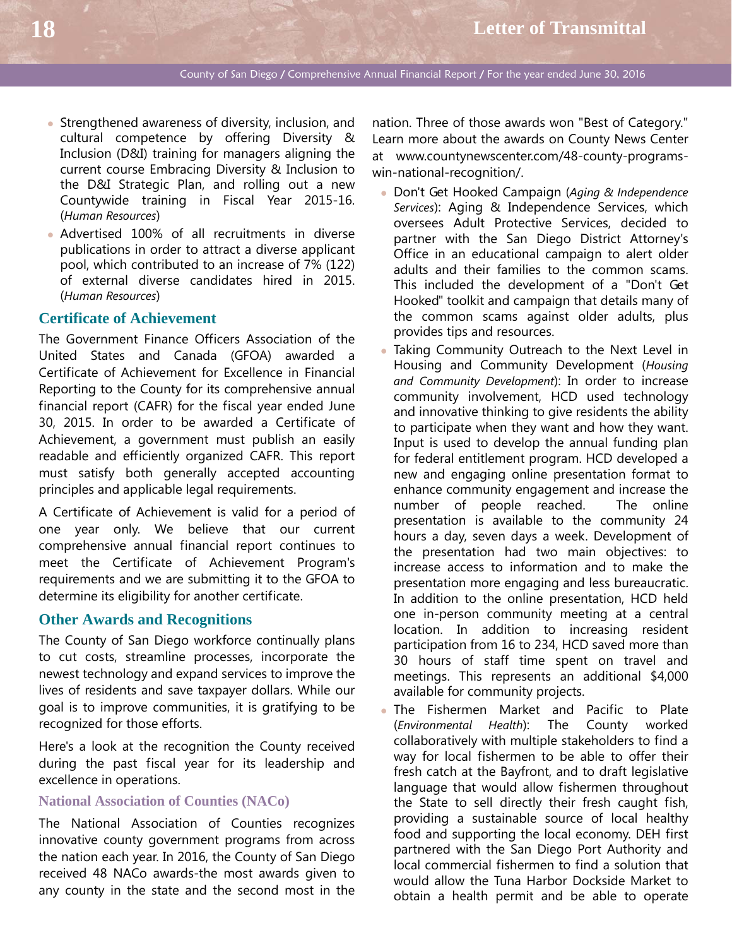- Strengthened awareness of diversity, inclusion, and cultural competence by offering Diversity & Inclusion (D&I) training for managers aligning the current course Embracing Diversity & Inclusion to the D&I Strategic Plan, and rolling out a new Countywide training in Fiscal Year 2015-16. (*Human Resources*)
- Advertised 100% of all recruitments in diverse publications in order to attract a diverse applicant pool, which contributed to an increase of 7% (122) of external diverse candidates hired in 2015. (*Human Resources*)

## **Certificate of Achievement**

The Government Finance Officers Association of the United States and Canada (GFOA) awarded a Certificate of Achievement for Excellence in Financial Reporting to the County for its comprehensive annual financial report (CAFR) for the fiscal year ended June 30, 2015. In order to be awarded a Certificate of Achievement, a government must publish an easily readable and efficiently organized CAFR. This report must satisfy both generally accepted accounting principles and applicable legal requirements.

A Certificate of Achievement is valid for a period of one year only. We believe that our current comprehensive annual financial report continues to meet the Certificate of Achievement Program's requirements and we are submitting it to the GFOA to determine its eligibility for another certificate.

## **Other Awards and Recognitions**

The County of San Diego workforce continually plans to cut costs, streamline processes, incorporate the newest technology and expand services to improve the lives of residents and save taxpayer dollars. While our goal is to improve communities, it is gratifying to be recognized for those efforts.

Here's a look at the recognition the County received during the past fiscal year for its leadership and excellence in operations.

#### **National Association of Counties (NACo)**

The National Association of Counties recognizes innovative county government programs from across the nation each year. In 2016, the County of San Diego received 48 NACo awards-the most awards given to any county in the state and the second most in the nation. Three of those awards won "Best of Category." Learn more about the awards on County News Center at www.countynewscenter.com/48-county-programswin-national-recognition/.

- Don't Get Hooked Campaign (*Aging & Independence Services*): Aging & Independence Services, which oversees Adult Protective Services, decided to partner with the San Diego District Attorney's Office in an educational campaign to alert older adults and their families to the common scams. This included the development of a "Don't Get Hooked" toolkit and campaign that details many of the common scams against older adults, plus provides tips and resources.
- Taking Community Outreach to the Next Level in Housing and Community Development (*Housing and Community Development*): In order to increase community involvement, HCD used technology and innovative thinking to give residents the ability to participate when they want and how they want. Input is used to develop the annual funding plan for federal entitlement program. HCD developed a new and engaging online presentation format to enhance community engagement and increase the number of people reached. The online presentation is available to the community 24 hours a day, seven days a week. Development of the presentation had two main objectives: to increase access to information and to make the presentation more engaging and less bureaucratic. In addition to the online presentation, HCD held one in-person community meeting at a central location. In addition to increasing resident participation from 16 to 234, HCD saved more than 30 hours of staff time spent on travel and meetings. This represents an additional \$4,000 available for community projects.
- The Fishermen Market and Pacific to Plate (*Environmental Health*): The County worked collaboratively with multiple stakeholders to find a way for local fishermen to be able to offer their fresh catch at the Bayfront, and to draft legislative language that would allow fishermen throughout the State to sell directly their fresh caught fish, providing a sustainable source of local healthy food and supporting the local economy. DEH first partnered with the San Diego Port Authority and local commercial fishermen to find a solution that would allow the Tuna Harbor Dockside Market to obtain a health permit and be able to operate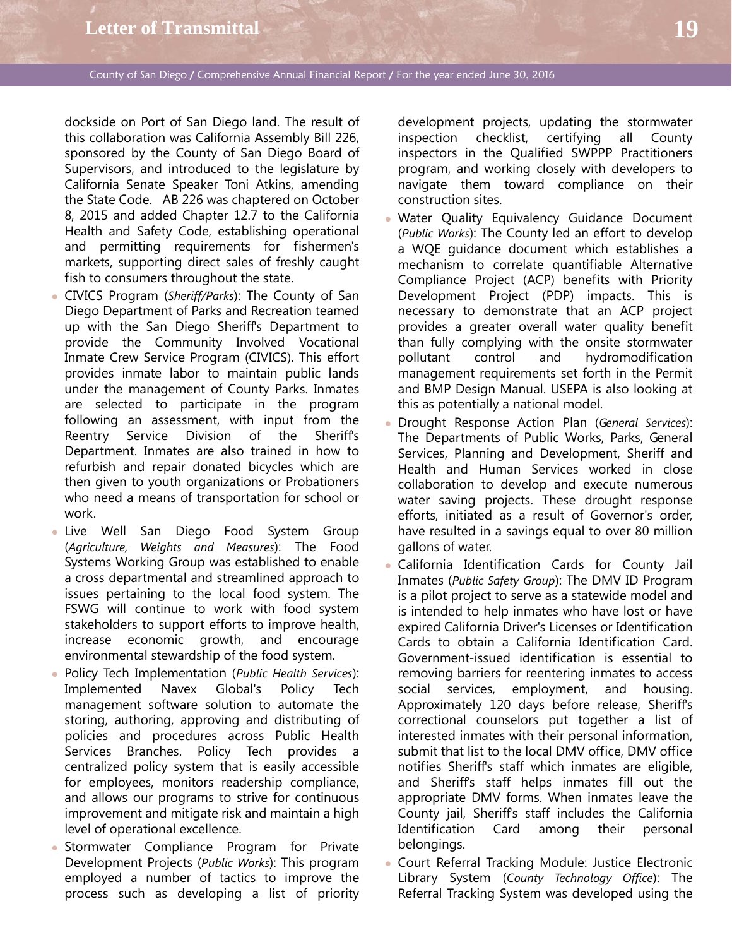dockside on Port of San Diego land. The result of this collaboration was California Assembly Bill 226, sponsored by the County of San Diego Board of Supervisors, and introduced to the legislature by California Senate Speaker Toni Atkins, amending the State Code. AB 226 was chaptered on October 8, 2015 and added Chapter 12.7 to the California Health and Safety Code, establishing operational and permitting requirements for fishermen's markets, supporting direct sales of freshly caught fish to consumers throughout the state.

- CIVICS Program (*Sheriff/Parks*): The County of San Diego Department of Parks and Recreation teamed up with the San Diego Sheriff's Department to provide the Community Involved Vocational Inmate Crew Service Program (CIVICS). This effort provides inmate labor to maintain public lands under the management of County Parks. Inmates are selected to participate in the program following an assessment, with input from the Reentry Service Division of the Sheriff's Department. Inmates are also trained in how to refurbish and repair donated bicycles which are then given to youth organizations or Probationers who need a means of transportation for school or work.
- Live Well San Diego Food System Group (*Agriculture, Weights and Measures*): The Food Systems Working Group was established to enable a cross departmental and streamlined approach to issues pertaining to the local food system. The FSWG will continue to work with food system stakeholders to support efforts to improve health, increase economic growth, and encourage environmental stewardship of the food system.
- Policy Tech Implementation (*Public Health Services*): Implemented Navex Global's Policy Tech management software solution to automate the storing, authoring, approving and distributing of policies and procedures across Public Health Services Branches. Policy Tech provides a centralized policy system that is easily accessible for employees, monitors readership compliance, and allows our programs to strive for continuous improvement and mitigate risk and maintain a high level of operational excellence.
- Stormwater Compliance Program for Private Development Projects (*Public Works*): This program employed a number of tactics to improve the process such as developing a list of priority

development projects, updating the stormwater inspection checklist, certifying all County inspectors in the Qualified SWPPP Practitioners program, and working closely with developers to navigate them toward compliance on their construction sites.

- Water Quality Equivalency Guidance Document (*Public Works*): The County led an effort to develop a WQE guidance document which establishes a mechanism to correlate quantifiable Alternative Compliance Project (ACP) benefits with Priority Development Project (PDP) impacts. This is necessary to demonstrate that an ACP project provides a greater overall water quality benefit than fully complying with the onsite stormwater pollutant control and hydromodification management requirements set forth in the Permit and BMP Design Manual. USEPA is also looking at this as potentially a national model.
- Drought Response Action Plan (*General Services*): The Departments of Public Works, Parks, General Services, Planning and Development, Sheriff and Health and Human Services worked in close collaboration to develop and execute numerous water saving projects. These drought response efforts, initiated as a result of Governor's order, have resulted in a savings equal to over 80 million gallons of water.
- California Identification Cards for County Jail Inmates (*Public Safety Group*): The DMV ID Program is a pilot project to serve as a statewide model and is intended to help inmates who have lost or have expired California Driver's Licenses or Identification Cards to obtain a California Identification Card. Government-issued identification is essential to removing barriers for reentering inmates to access social services, employment, and housing. Approximately 120 days before release, Sheriff's correctional counselors put together a list of interested inmates with their personal information, submit that list to the local DMV office, DMV office notifies Sheriff's staff which inmates are eligible, and Sheriffs staff helps inmates fill out the appropriate DMV forms. When inmates leave the County jail, Sheriff's staff includes the California Identification Card among their personal belongings.
- Court Referral Tracking Module: Justice Electronic Library System (*County Technology Office*): The Referral Tracking System was developed using the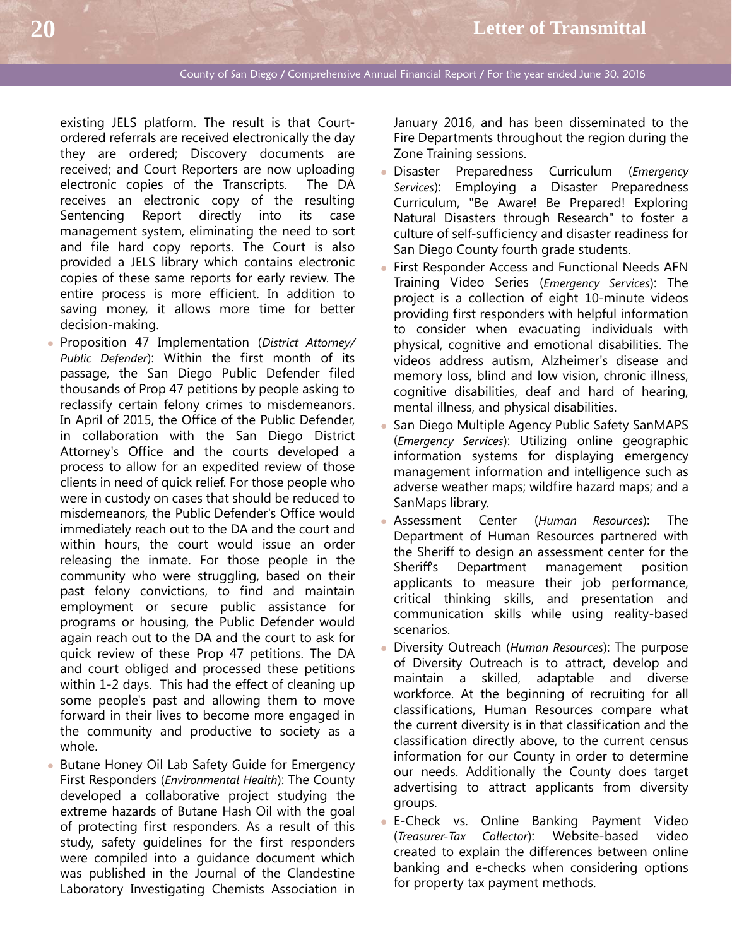existing JELS platform. The result is that Courtordered referrals are received electronically the day they are ordered; Discovery documents are received; and Court Reporters are now uploading electronic copies of the Transcripts. The DA receives an electronic copy of the resulting Sentencing Report directly into its case management system, eliminating the need to sort and file hard copy reports. The Court is also provided a JELS library which contains electronic copies of these same reports for early review. The entire process is more efficient. In addition to saving money, it allows more time for better decision-making.

- Proposition 47 Implementation (*District Attorney/ Public Defender*): Within the first month of its passage, the San Diego Public Defender filed thousands of Prop 47 petitions by people asking to reclassify certain felony crimes to misdemeanors. In April of 2015, the Office of the Public Defender, in collaboration with the San Diego District Attorney's Office and the courts developed a process to allow for an expedited review of those clients in need of quick relief. For those people who were in custody on cases that should be reduced to misdemeanors, the Public Defender's Office would immediately reach out to the DA and the court and within hours, the court would issue an order releasing the inmate. For those people in the community who were struggling, based on their past felony convictions, to find and maintain employment or secure public assistance for programs or housing, the Public Defender would again reach out to the DA and the court to ask for quick review of these Prop 47 petitions. The DA and court obliged and processed these petitions within 1-2 days. This had the effect of cleaning up some people's past and allowing them to move forward in their lives to become more engaged in the community and productive to society as a whole.
- Butane Honey Oil Lab Safety Guide for Emergency First Responders (*Environmental Health*): The County developed a collaborative project studying the extreme hazards of Butane Hash Oil with the goal of protecting first responders. As a result of this study, safety guidelines for the first responders were compiled into a guidance document which was published in the Journal of the Clandestine Laboratory Investigating Chemists Association in

January 2016, and has been disseminated to the Fire Departments throughout the region during the Zone Training sessions.

- Disaster Preparedness Curriculum (*Emergency Services*): Employing a Disaster Preparedness Curriculum, "Be Aware! Be Prepared! Exploring Natural Disasters through Research" to foster a culture of self-sufficiency and disaster readiness for San Diego County fourth grade students.
- First Responder Access and Functional Needs AFN Training Video Series (*Emergency Services*): The project is a collection of eight 10-minute videos providing first responders with helpful information to consider when evacuating individuals with physical, cognitive and emotional disabilities. The videos address autism, Alzheimer's disease and memory loss, blind and low vision, chronic illness, cognitive disabilities, deaf and hard of hearing, mental illness, and physical disabilities.
- San Diego Multiple Agency Public Safety SanMAPS (*Emergency Services*): Utilizing online geographic information systems for displaying emergency management information and intelligence such as adverse weather maps; wildfire hazard maps; and a SanMaps library.
- Assessment Center (*Human Resources*): The Department of Human Resources partnered with the Sheriff to design an assessment center for the Sheriff's Department management position applicants to measure their job performance, critical thinking skills, and presentation and communication skills while using reality-based scenarios.
- Diversity Outreach (*Human Resources*): The purpose of Diversity Outreach is to attract, develop and maintain a skilled, adaptable and diverse workforce. At the beginning of recruiting for all classifications, Human Resources compare what the current diversity is in that classification and the classification directly above, to the current census information for our County in order to determine our needs. Additionally the County does target advertising to attract applicants from diversity groups.
- E-Check vs. Online Banking Payment Video (*Treasurer-Tax Collector*): Website-based video created to explain the differences between online banking and e-checks when considering options for property tax payment methods.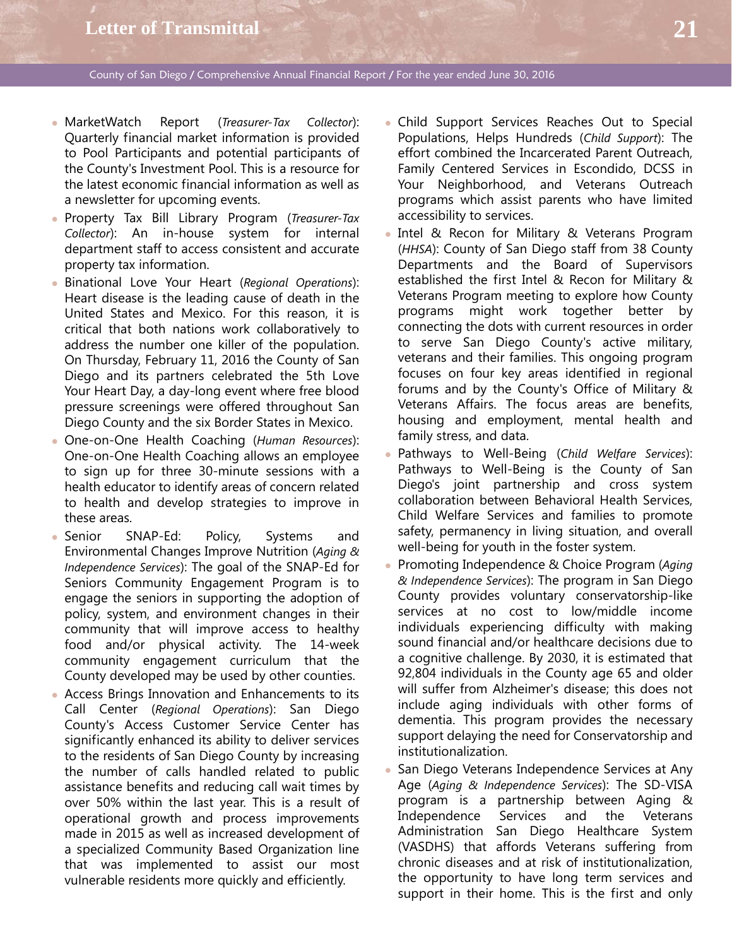- MarketWatch Report (*Treasurer-Tax Collector*): Quarterly financial market information is provided to Pool Participants and potential participants of the County's Investment Pool. This is a resource for the latest economic financial information as well as a newsletter for upcoming events.
- Property Tax Bill Library Program (*Treasurer-Tax Collector*): An in-house system for internal department staff to access consistent and accurate property tax information.
- Binational Love Your Heart (*Regional Operations*): Heart disease is the leading cause of death in the United States and Mexico. For this reason, it is critical that both nations work collaboratively to address the number one killer of the population. On Thursday, February 11, 2016 the County of San Diego and its partners celebrated the 5th Love Your Heart Day, a day-long event where free blood pressure screenings were offered throughout San Diego County and the six Border States in Mexico.
- One-on-One Health Coaching (*Human Resources*): One-on-One Health Coaching allows an employee to sign up for three 30-minute sessions with a health educator to identify areas of concern related to health and develop strategies to improve in these areas.
- Senior SNAP-Ed: Policy, Systems and Environmental Changes Improve Nutrition (*Aging & Independence Services*): The goal of the SNAP-Ed for Seniors Community Engagement Program is to engage the seniors in supporting the adoption of policy, system, and environment changes in their community that will improve access to healthy food and/or physical activity. The 14-week community engagement curriculum that the County developed may be used by other counties.
- Access Brings Innovation and Enhancements to its Call Center (*Regional Operations*): San Diego County's Access Customer Service Center has significantly enhanced its ability to deliver services to the residents of San Diego County by increasing the number of calls handled related to public assistance benefits and reducing call wait times by over 50% within the last year. This is a result of operational growth and process improvements made in 2015 as well as increased development of a specialized Community Based Organization line that was implemented to assist our most vulnerable residents more quickly and efficiently.
- Child Support Services Reaches Out to Special Populations, Helps Hundreds (*Child Support*): The effort combined the Incarcerated Parent Outreach, Family Centered Services in Escondido, DCSS in Your Neighborhood, and Veterans Outreach programs which assist parents who have limited accessibility to services.
- Intel & Recon for Military & Veterans Program (*HHSA*): County of San Diego staff from 38 County Departments and the Board of Supervisors established the first Intel & Recon for Military & Veterans Program meeting to explore how County programs might work together better by connecting the dots with current resources in order to serve San Diego County's active military, veterans and their families. This ongoing program focuses on four key areas identified in regional forums and by the County's Office of Military & Veterans Affairs. The focus areas are benefits, housing and employment, mental health and family stress, and data.
- Pathways to Well-Being (*Child Welfare Services*): Pathways to Well-Being is the County of San Diego's joint partnership and cross system collaboration between Behavioral Health Services, Child Welfare Services and families to promote safety, permanency in living situation, and overall well-being for youth in the foster system.
- Promoting Independence & Choice Program (*Aging & Independence Services*): The program in San Diego County provides voluntary conservatorship-like services at no cost to low/middle income individuals experiencing difficulty with making sound financial and/or healthcare decisions due to a cognitive challenge. By 2030, it is estimated that 92,804 individuals in the County age 65 and older will suffer from Alzheimer's disease; this does not include aging individuals with other forms of dementia. This program provides the necessary support delaying the need for Conservatorship and institutionalization.
- San Diego Veterans Independence Services at Any Age (*Aging & Independence Services*): The SD-VISA program is a partnership between Aging & Independence Services and the Veterans Administration San Diego Healthcare System (VASDHS) that affords Veterans suffering from chronic diseases and at risk of institutionalization, the opportunity to have long term services and support in their home. This is the first and only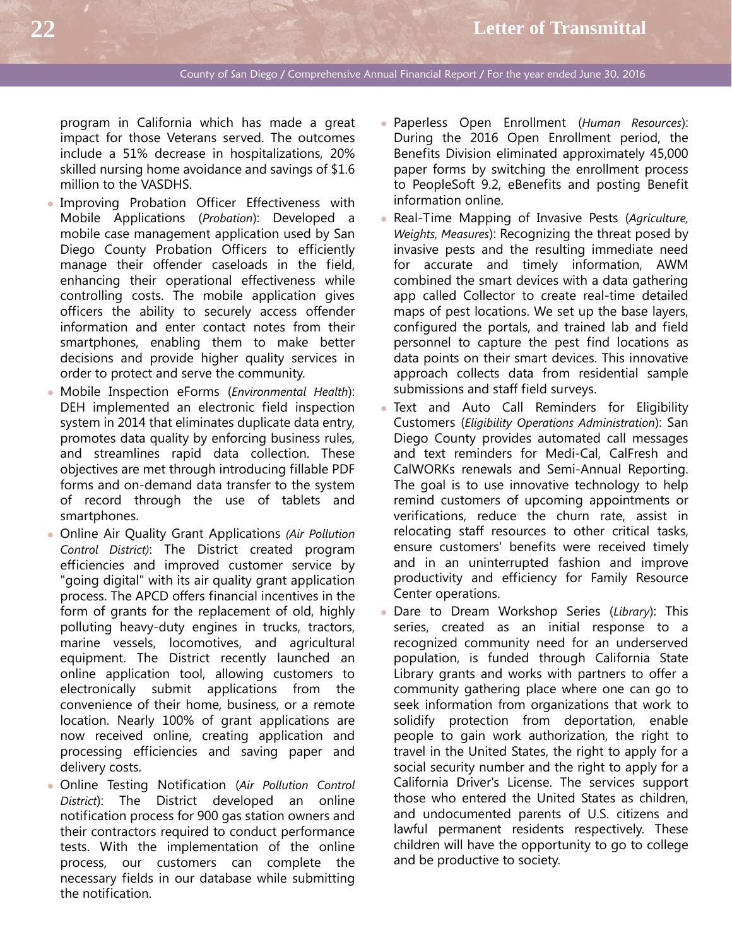program in California which has made a great impact for those Veterans served. The outcomes include a 51% decrease in hospitalizations, 20% skilled nursing home avoidance and savings of \$1.6 million to the VASDHS.

- Improving Probation Officer Effectiveness with Mobile Applications (*Probation*): Developed a mobile case management application used by San Diego County Probation Officers to efficiently manage their offender caseloads in the field, enhancing their operational effectiveness while controlling costs. The mobile application gives officers the ability to securely access offender information and enter contact notes from their smartphones, enabling them to make better decisions and provide higher quality services in order to protect and serve the community.
- Mobile Inspection eForms (*Environmental Health*): DEH implemented an electronic field inspection system in 2014 that eliminates duplicate data entry, promotes data quality by enforcing business rules, and streamlines rapid data collection. These objectives are met through introducing fillable PDF forms and on-demand data transfer to the system of record through the use of tablets and smartphones.
- Online Air Quality Grant Applications *(Air Pollution Control District)*: The District created program efficiencies and improved customer service by "going digital" with its air quality grant application process. The APCD offers financial incentives in the form of grants for the replacement of old, highly polluting heavy-duty engines in trucks, tractors, marine vessels, locomotives, and agricultural equipment. The District recently launched an online application tool, allowing customers to electronically submit applications from the convenience of their home, business, or a remote location. Nearly 100% of grant applications are now received online, creating application and processing efficiencies and saving paper and delivery costs.
- Online Testing Notification (*Air Pollution Control District*): The District developed an online notification process for 900 gas station owners and their contractors required to conduct performance tests. With the implementation of the online process, our customers can complete the necessary fields in our database while submitting the notification.
- Paperless Open Enrollment (*Human Resources*): During the 2016 Open Enrollment period, the Benefits Division eliminated approximately 45,000 paper forms by switching the enrollment process to PeopleSoft 9.2, eBenefits and posting Benefit information online.
- Real-Time Mapping of Invasive Pests (*Agriculture, Weights, Measures*): Recognizing the threat posed by invasive pests and the resulting immediate need for accurate and timely information, AWM combined the smart devices with a data gathering app called Collector to create real-time detailed maps of pest locations. We set up the base layers, configured the portals, and trained lab and field personnel to capture the pest find locations as data points on their smart devices. This innovative approach collects data from residential sample submissions and staff field surveys.
- Text and Auto Call Reminders for Eligibility Customers (*Eligibility Operations Administration*): San Diego County provides automated call messages and text reminders for Medi-Cal, CalFresh and CalWORKs renewals and Semi-Annual Reporting. The goal is to use innovative technology to help remind customers of upcoming appointments or verifications, reduce the churn rate, assist in relocating staff resources to other critical tasks, ensure customers' benefits were received timely and in an uninterrupted fashion and improve productivity and efficiency for Family Resource Center operations.
- Dare to Dream Workshop Series (*Library*): This series, created as an initial response to a recognized community need for an underserved population, is funded through California State Library grants and works with partners to offer a community gathering place where one can go to seek information from organizations that work to solidify protection from deportation, enable people to gain work authorization, the right to travel in the United States, the right to apply for a social security number and the right to apply for a California Driver's License. The services support those who entered the United States as children, and undocumented parents of U.S. citizens and lawful permanent residents respectively. These children will have the opportunity to go to college and be productive to society.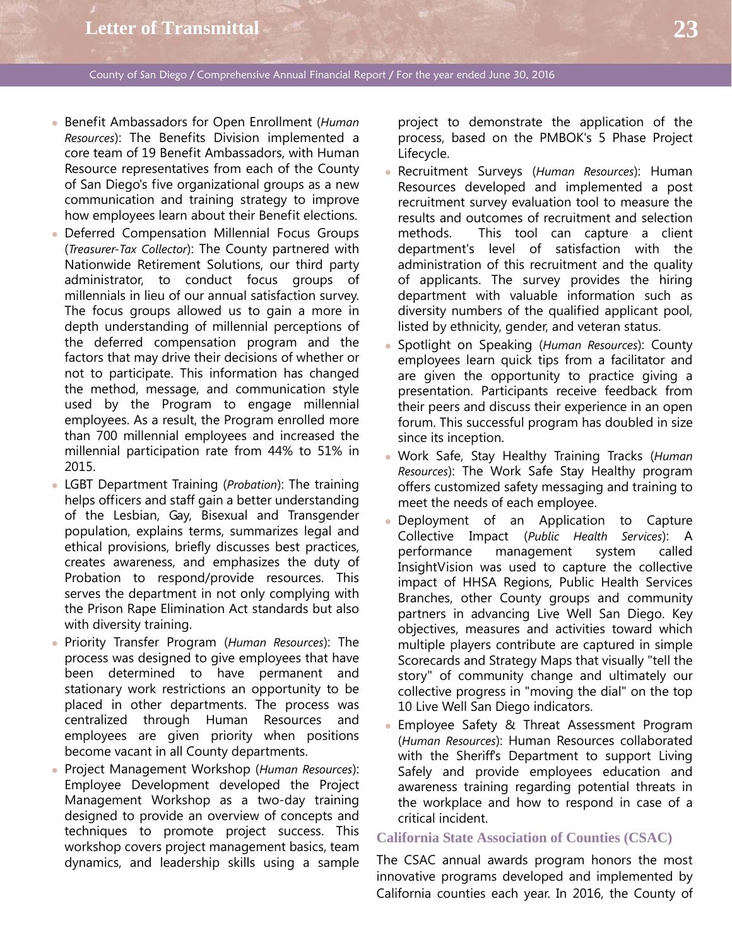- Benefit Ambassadors for Open Enrollment (*Human Resources*): The Benefits Division implemented a core team of 19 Benefit Ambassadors, with Human Resource representatives from each of the County of San Diego's five organizational groups as a new communication and training strategy to improve how employees learn about their Benefit elections.
- Deferred Compensation Millennial Focus Groups (*Treasurer-Tax Collector*): The County partnered with Nationwide Retirement Solutions, our third party administrator, to conduct focus groups of millennials in lieu of our annual satisfaction survey. The focus groups allowed us to gain a more in depth understanding of millennial perceptions of the deferred compensation program and the factors that may drive their decisions of whether or not to participate. This information has changed the method, message, and communication style used by the Program to engage millennial employees. As a result, the Program enrolled more than 700 millennial employees and increased the millennial participation rate from 44% to 51% in 2015.
- LGBT Department Training (*Probation*): The training helps officers and staff gain a better understanding of the Lesbian, Gay, Bisexual and Transgender population, explains terms, summarizes legal and ethical provisions, briefly discusses best practices, creates awareness, and emphasizes the duty of Probation to respond/provide resources. This serves the department in not only complying with the Prison Rape Elimination Act standards but also with diversity training.
- Priority Transfer Program (*Human Resources*): The process was designed to give employees that have been determined to have permanent and stationary work restrictions an opportunity to be placed in other departments. The process was centralized through Human Resources and employees are given priority when positions become vacant in all County departments.
- Project Management Workshop (*Human Resources*): Employee Development developed the Project Management Workshop as a two-day training designed to provide an overview of concepts and techniques to promote project success. This workshop covers project management basics, team dynamics, and leadership skills using a sample

project to demonstrate the application of the process, based on the PMBOK's 5 Phase Project Lifecycle.

- Recruitment Surveys (*Human Resources*): Human Resources developed and implemented a post recruitment survey evaluation tool to measure the results and outcomes of recruitment and selection methods. This tool can capture a client department's level of satisfaction with the administration of this recruitment and the quality of applicants. The survey provides the hiring department with valuable information such as diversity numbers of the qualified applicant pool, listed by ethnicity, gender, and veteran status.
- Spotlight on Speaking (*Human Resources*): County employees learn quick tips from a facilitator and are given the opportunity to practice giving a presentation. Participants receive feedback from their peers and discuss their experience in an open forum. This successful program has doubled in size since its inception.
- Work Safe, Stay Healthy Training Tracks (*Human Resources*): The Work Safe Stay Healthy program offers customized safety messaging and training to meet the needs of each employee.
- Deployment of an Application to Capture Collective Impact (*Public Health Services*): A performance management system called InsightVision was used to capture the collective impact of HHSA Regions, Public Health Services Branches, other County groups and community partners in advancing Live Well San Diego. Key objectives, measures and activities toward which multiple players contribute are captured in simple Scorecards and Strategy Maps that visually "tell the story" of community change and ultimately our collective progress in "moving the dial" on the top 10 Live Well San Diego indicators.
- **Employee Safety & Threat Assessment Program** (*Human Resources*): Human Resources collaborated with the Sheriff's Department to support Living Safely and provide employees education and awareness training regarding potential threats in the workplace and how to respond in case of a critical incident.

#### **California State Association of Counties (CSAC)**

The CSAC annual awards program honors the most innovative programs developed and implemented by California counties each year. In 2016, the County of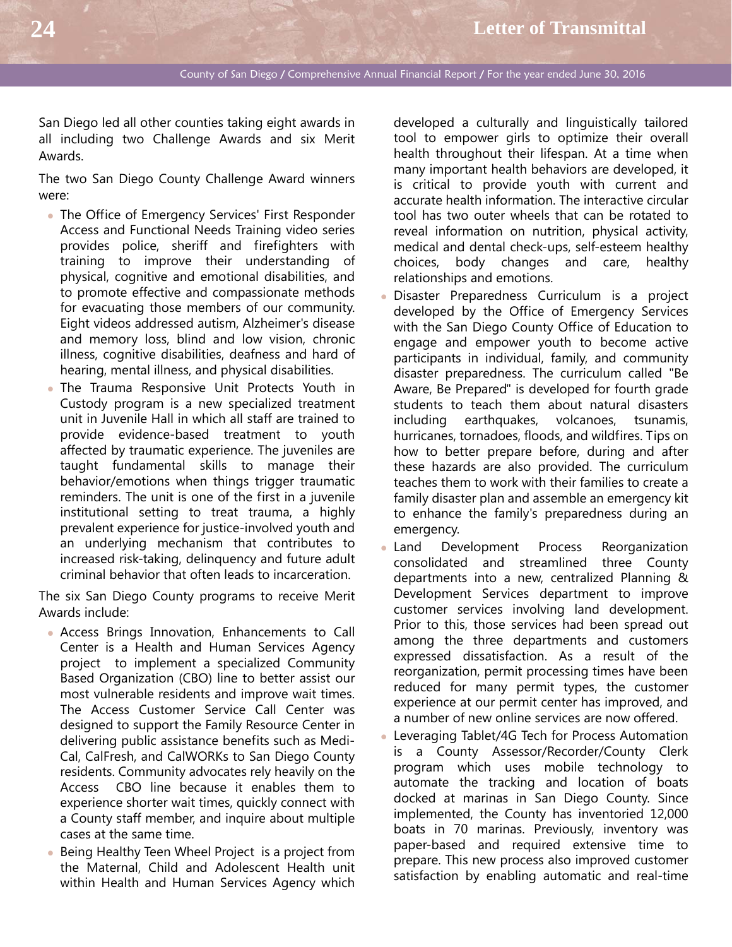San Diego led all other counties taking eight awards in all including two Challenge Awards and six Merit Awards.

The two San Diego County Challenge Award winners were:

- The Office of Emergency Services' First Responder Access and Functional Needs Training video series provides police, sheriff and firefighters with training to improve their understanding of physical, cognitive and emotional disabilities, and to promote effective and compassionate methods for evacuating those members of our community. Eight videos addressed autism, Alzheimer's disease and memory loss, blind and low vision, chronic illness, cognitive disabilities, deafness and hard of hearing, mental illness, and physical disabilities.
- The Trauma Responsive Unit Protects Youth in Custody program is a new specialized treatment unit in Juvenile Hall in which all staff are trained to provide evidence-based treatment to youth affected by traumatic experience. The juveniles are taught fundamental skills to manage their behavior/emotions when things trigger traumatic reminders. The unit is one of the first in a juvenile institutional setting to treat trauma, a highly prevalent experience for justice-involved youth and an underlying mechanism that contributes to increased risk-taking, delinquency and future adult criminal behavior that often leads to incarceration.

The six San Diego County programs to receive Merit Awards include:

- Access Brings Innovation, Enhancements to Call Center is a Health and Human Services Agency project to implement a specialized Community Based Organization (CBO) line to better assist our most vulnerable residents and improve wait times. The Access Customer Service Call Center was designed to support the Family Resource Center in delivering public assistance benefits such as Medi-Cal, CalFresh, and CalWORKs to San Diego County residents. Community advocates rely heavily on the Access CBO line because it enables them to experience shorter wait times, quickly connect with a County staff member, and inquire about multiple cases at the same time.
- Being Healthy Teen Wheel Project is a project from the Maternal, Child and Adolescent Health unit within Health and Human Services Agency which

developed a culturally and linguistically tailored tool to empower girls to optimize their overall health throughout their lifespan. At a time when many important health behaviors are developed, it is critical to provide youth with current and accurate health information. The interactive circular tool has two outer wheels that can be rotated to reveal information on nutrition, physical activity, medical and dental check-ups, self-esteem healthy choices, body changes and care, healthy relationships and emotions.

- Disaster Preparedness Curriculum is a project developed by the Office of Emergency Services with the San Diego County Office of Education to engage and empower youth to become active participants in individual, family, and community disaster preparedness. The curriculum called "Be Aware, Be Prepared" is developed for fourth grade students to teach them about natural disasters including earthquakes, volcanoes, tsunamis, hurricanes, tornadoes, floods, and wildfires. Tips on how to better prepare before, during and after these hazards are also provided. The curriculum teaches them to work with their families to create a family disaster plan and assemble an emergency kit to enhance the family's preparedness during an emergency.
- Land Development Process Reorganization consolidated and streamlined three County departments into a new, centralized Planning & Development Services department to improve customer services involving land development. Prior to this, those services had been spread out among the three departments and customers expressed dissatisfaction. As a result of the reorganization, permit processing times have been reduced for many permit types, the customer experience at our permit center has improved, and a number of new online services are now offered.
- Leveraging Tablet/4G Tech for Process Automation is a County Assessor/Recorder/County Clerk program which uses mobile technology to automate the tracking and location of boats docked at marinas in San Diego County. Since implemented, the County has inventoried 12,000 boats in 70 marinas. Previously, inventory was paper-based and required extensive time to prepare. This new process also improved customer satisfaction by enabling automatic and real-time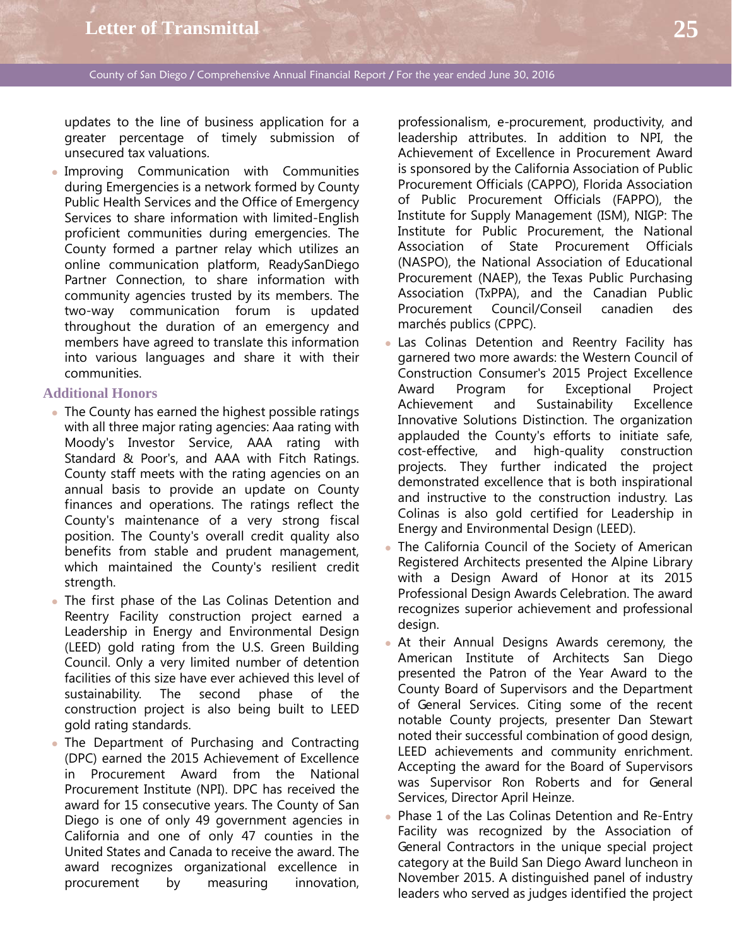updates to the line of business application for a greater percentage of timely submission of unsecured tax valuations.

 Improving Communication with Communities during Emergencies is a network formed by County Public Health Services and the Office of Emergency Services to share information with limited-English proficient communities during emergencies. The County formed a partner relay which utilizes an online communication platform, ReadySanDiego Partner Connection, to share information with community agencies trusted by its members. The two-way communication forum is updated throughout the duration of an emergency and members have agreed to translate this information into various languages and share it with their communities.

#### **Additional Honors**

- The County has earned the highest possible ratings with all three major rating agencies: Aaa rating with Moody's Investor Service, AAA rating with Standard & Poor's, and AAA with Fitch Ratings. County staff meets with the rating agencies on an annual basis to provide an update on County finances and operations. The ratings reflect the County's maintenance of a very strong fiscal position. The County's overall credit quality also benefits from stable and prudent management, which maintained the County's resilient credit strength.
- The first phase of the Las Colinas Detention and Reentry Facility construction project earned a Leadership in Energy and Environmental Design (LEED) gold rating from the U.S. Green Building Council. Only a very limited number of detention facilities of this size have ever achieved this level of sustainability. The second phase of the construction project is also being built to LEED gold rating standards.
- The Department of Purchasing and Contracting (DPC) earned the 2015 Achievement of Excellence in Procurement Award from the National Procurement Institute (NPI). DPC has received the award for 15 consecutive years. The County of San Diego is one of only 49 government agencies in California and one of only 47 counties in the United States and Canada to receive the award. The award recognizes organizational excellence in procurement by measuring innovation,

professionalism, e-procurement, productivity, and leadership attributes. In addition to NPI, the Achievement of Excellence in Procurement Award is sponsored by the California Association of Public Procurement Officials (CAPPO), Florida Association of Public Procurement Officials (FAPPO), the Institute for Supply Management (ISM), NIGP: The Institute for Public Procurement, the National Association of State Procurement Officials (NASPO), the National Association of Educational Procurement (NAEP), the Texas Public Purchasing Association (TxPPA), and the Canadian Public Procurement Council/Conseil canadien des marchés publics (CPPC).

- Las Colinas Detention and Reentry Facility has garnered two more awards: the Western Council of Construction Consumer's 2015 Project Excellence Award Program for Exceptional Project Achievement and Sustainability Excellence Innovative Solutions Distinction. The organization applauded the County's efforts to initiate safe, cost-effective, and high-quality construction projects. They further indicated the project demonstrated excellence that is both inspirational and instructive to the construction industry. Las Colinas is also gold certified for Leadership in Energy and Environmental Design (LEED).
- The California Council of the Society of American Registered Architects presented the Alpine Library with a Design Award of Honor at its 2015 Professional Design Awards Celebration. The award recognizes superior achievement and professional design.
- At their Annual Designs Awards ceremony, the American Institute of Architects San Diego presented the Patron of the Year Award to the County Board of Supervisors and the Department of General Services. Citing some of the recent notable County projects, presenter Dan Stewart noted their successful combination of good design, LEED achievements and community enrichment. Accepting the award for the Board of Supervisors was Supervisor Ron Roberts and for General Services, Director April Heinze.
- Phase 1 of the Las Colinas Detention and Re-Entry Facility was recognized by the Association of General Contractors in the unique special project category at the Build San Diego Award luncheon in November 2015. A distinguished panel of industry leaders who served as judges identified the project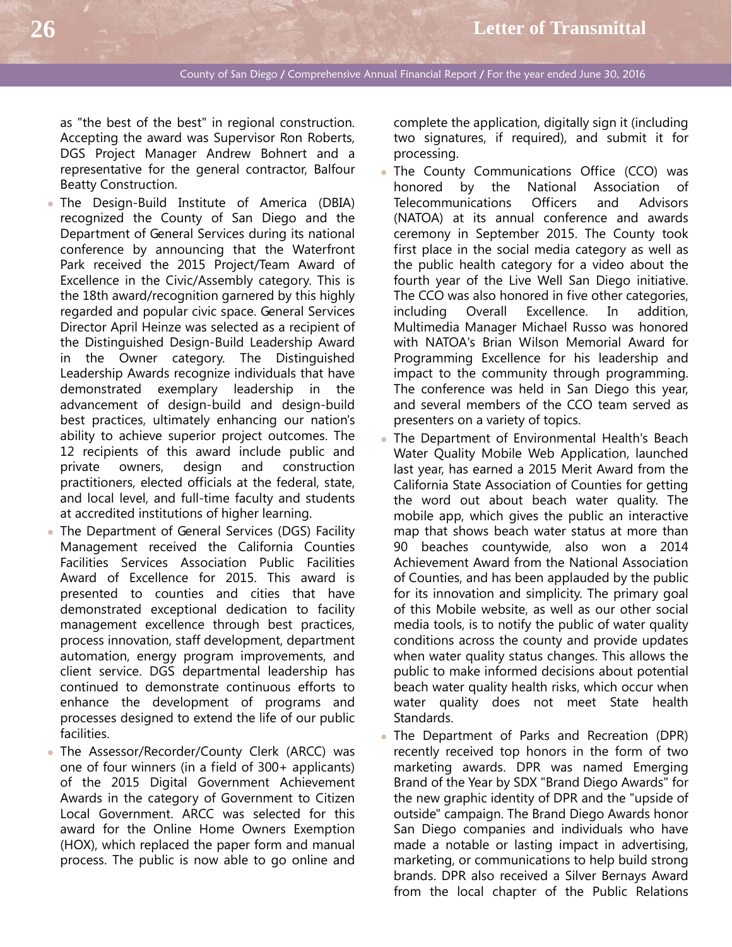as "the best of the best" in regional construction. Accepting the award was Supervisor Ron Roberts, DGS Project Manager Andrew Bohnert and a representative for the general contractor, Balfour Beatty Construction.

- The Design-Build Institute of America (DBIA) recognized the County of San Diego and the Department of General Services during its national conference by announcing that the Waterfront Park received the 2015 Project/Team Award of Excellence in the Civic/Assembly category. This is the 18th award/recognition garnered by this highly regarded and popular civic space. General Services Director April Heinze was selected as a recipient of the Distinguished Design-Build Leadership Award in the Owner category. The Distinguished Leadership Awards recognize individuals that have demonstrated exemplary leadership in the advancement of design-build and design-build best practices, ultimately enhancing our nation's ability to achieve superior project outcomes. The 12 recipients of this award include public and private owners, design and construction practitioners, elected officials at the federal, state, and local level, and full-time faculty and students at accredited institutions of higher learning.
- The Department of General Services (DGS) Facility Management received the California Counties Facilities Services Association Public Facilities Award of Excellence for 2015. This award is presented to counties and cities that have demonstrated exceptional dedication to facility management excellence through best practices, process innovation, staff development, department automation, energy program improvements, and client service. DGS departmental leadership has continued to demonstrate continuous efforts to enhance the development of programs and processes designed to extend the life of our public facilities.
- The Assessor/Recorder/County Clerk (ARCC) was one of four winners (in a field of 300+ applicants) of the 2015 Digital Government Achievement Awards in the category of Government to Citizen Local Government. ARCC was selected for this award for the Online Home Owners Exemption (HOX), which replaced the paper form and manual process. The public is now able to go online and

complete the application, digitally sign it (including two signatures, if required), and submit it for processing.

- . The County Communications Office (CCO) was honored by the National Association of Telecommunications Officers and Advisors (NATOA) at its annual conference and awards ceremony in September 2015. The County took first place in the social media category as well as the public health category for a video about the fourth year of the Live Well San Diego initiative. The CCO was also honored in five other categories, including Overall Excellence. In addition, Multimedia Manager Michael Russo was honored with NATOA's Brian Wilson Memorial Award for Programming Excellence for his leadership and impact to the community through programming. The conference was held in San Diego this year, and several members of the CCO team served as presenters on a variety of topics.
- The Department of Environmental Health's Beach Water Quality Mobile Web Application, launched last year, has earned a 2015 Merit Award from the California State Association of Counties for getting the word out about beach water quality. The mobile app, which gives the public an interactive map that shows beach water status at more than 90 beaches countywide, also won a 2014 Achievement Award from the National Association of Counties, and has been applauded by the public for its innovation and simplicity. The primary goal of this Mobile website, as well as our other social media tools, is to notify the public of water quality conditions across the county and provide updates when water quality status changes. This allows the public to make informed decisions about potential beach water quality health risks, which occur when water quality does not meet State health Standards.
- The Department of Parks and Recreation (DPR) recently received top honors in the form of two marketing awards. DPR was named Emerging Brand of the Year by SDX "Brand Diego Awards" for the new graphic identity of DPR and the "upside of outside" campaign. The Brand Diego Awards honor San Diego companies and individuals who have made a notable or lasting impact in advertising, marketing, or communications to help build strong brands. DPR also received a Silver Bernays Award from the local chapter of the Public Relations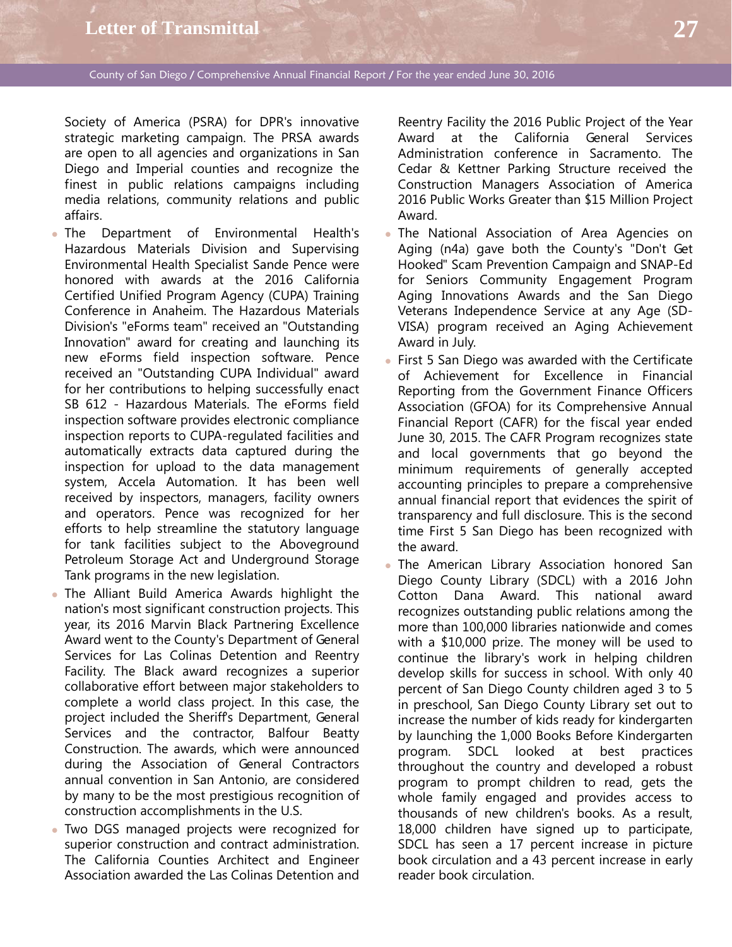Society of America (PSRA) for DPR's innovative strategic marketing campaign. The PRSA awards are open to all agencies and organizations in San Diego and Imperial counties and recognize the finest in public relations campaigns including media relations, community relations and public affairs.

- The Department of Environmental Health's Hazardous Materials Division and Supervising Environmental Health Specialist Sande Pence were honored with awards at the 2016 California Certified Unified Program Agency (CUPA) Training Conference in Anaheim. The Hazardous Materials Division's "eForms team" received an "Outstanding Innovation" award for creating and launching its new eForms field inspection software. Pence received an "Outstanding CUPA Individual" award for her contributions to helping successfully enact SB 612 - Hazardous Materials. The eForms field inspection software provides electronic compliance inspection reports to CUPA-regulated facilities and automatically extracts data captured during the inspection for upload to the data management system, Accela Automation. It has been well received by inspectors, managers, facility owners and operators. Pence was recognized for her efforts to help streamline the statutory language for tank facilities subject to the Aboveground Petroleum Storage Act and Underground Storage Tank programs in the new legislation.
- The Alliant Build America Awards highlight the nation's most significant construction projects. This year, its 2016 Marvin Black Partnering Excellence Award went to the County's Department of General Services for Las Colinas Detention and Reentry Facility. The Black award recognizes a superior collaborative effort between major stakeholders to complete a world class project. In this case, the project included the Sheriff's Department, General Services and the contractor, Balfour Beatty Construction. The awards, which were announced during the Association of General Contractors annual convention in San Antonio, are considered by many to be the most prestigious recognition of construction accomplishments in the U.S.
- Two DGS managed projects were recognized for superior construction and contract administration. The California Counties Architect and Engineer Association awarded the Las Colinas Detention and

Reentry Facility the 2016 Public Project of the Year Award at the California General Services Administration conference in Sacramento. The Cedar & Kettner Parking Structure received the Construction Managers Association of America 2016 Public Works Greater than \$15 Million Project Award.

- The National Association of Area Agencies on Aging (n4a) gave both the County's "Don't Get Hooked" Scam Prevention Campaign and SNAP-Ed for Seniors Community Engagement Program Aging Innovations Awards and the San Diego Veterans Independence Service at any Age (SD-VISA) program received an Aging Achievement Award in July.
- First 5 San Diego was awarded with the Certificate of Achievement for Excellence in Financial Reporting from the Government Finance Officers Association (GFOA) for its Comprehensive Annual Financial Report (CAFR) for the fiscal year ended June 30, 2015. The CAFR Program recognizes state and local governments that go beyond the minimum requirements of generally accepted accounting principles to prepare a comprehensive annual financial report that evidences the spirit of transparency and full disclosure. This is the second time First 5 San Diego has been recognized with the award.
- The American Library Association honored San Diego County Library (SDCL) with a 2016 John Cotton Dana Award. This national award recognizes outstanding public relations among the more than 100,000 libraries nationwide and comes with a \$10,000 prize. The money will be used to continue the library's work in helping children develop skills for success in school. With only 40 percent of San Diego County children aged 3 to 5 in preschool, San Diego County Library set out to increase the number of kids ready for kindergarten by launching the 1,000 Books Before Kindergarten program. SDCL looked at best practices throughout the country and developed a robust program to prompt children to read, gets the whole family engaged and provides access to thousands of new children's books. As a result, 18,000 children have signed up to participate, SDCL has seen a 17 percent increase in picture book circulation and a 43 percent increase in early reader book circulation.